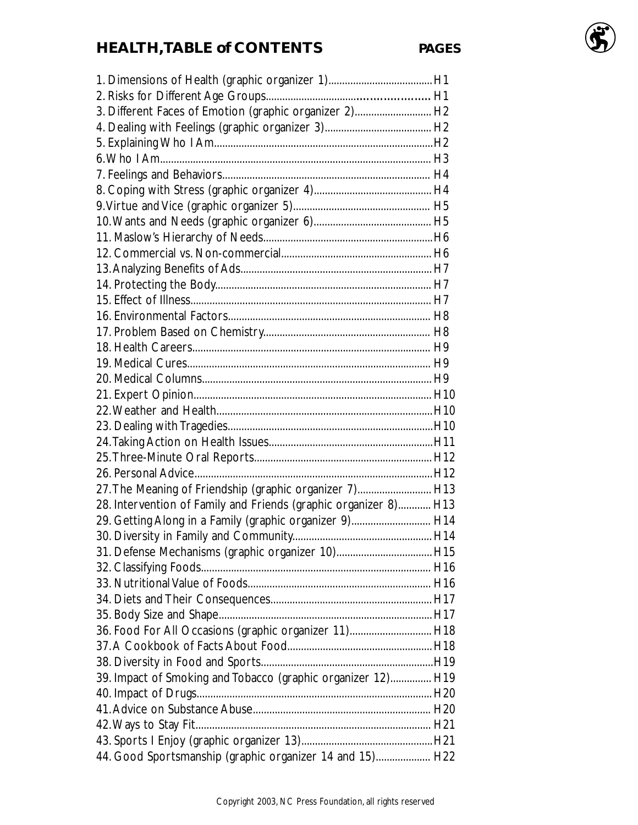# **HEALTH,TABLE of CONTENTS PAGES**

| 3. Different Faces of Emotion (graphic organizer 2) H2           |  |
|------------------------------------------------------------------|--|
|                                                                  |  |
|                                                                  |  |
|                                                                  |  |
|                                                                  |  |
|                                                                  |  |
|                                                                  |  |
|                                                                  |  |
|                                                                  |  |
|                                                                  |  |
|                                                                  |  |
|                                                                  |  |
|                                                                  |  |
|                                                                  |  |
|                                                                  |  |
|                                                                  |  |
|                                                                  |  |
|                                                                  |  |
|                                                                  |  |
|                                                                  |  |
|                                                                  |  |
|                                                                  |  |
|                                                                  |  |
|                                                                  |  |
| 27. The Meaning of Friendship (graphic organizer 7) H13          |  |
| 28. Intervention of Family and Friends (graphic organizer 8) H13 |  |
| 29. Getting Along in a Family (graphic organizer 9) H14          |  |
|                                                                  |  |
| 31. Defense Mechanisms (graphic organizer 10) H15                |  |
|                                                                  |  |
|                                                                  |  |
|                                                                  |  |
|                                                                  |  |
| 36. Food For All Occasions (graphic organizer 11) H18            |  |
|                                                                  |  |
|                                                                  |  |
| 39. Impact of Smoking and Tobacco (graphic organizer 12) H19     |  |
|                                                                  |  |
|                                                                  |  |
|                                                                  |  |
|                                                                  |  |
| 44. Good Sportsmanship (graphic organizer 14 and 15) H22         |  |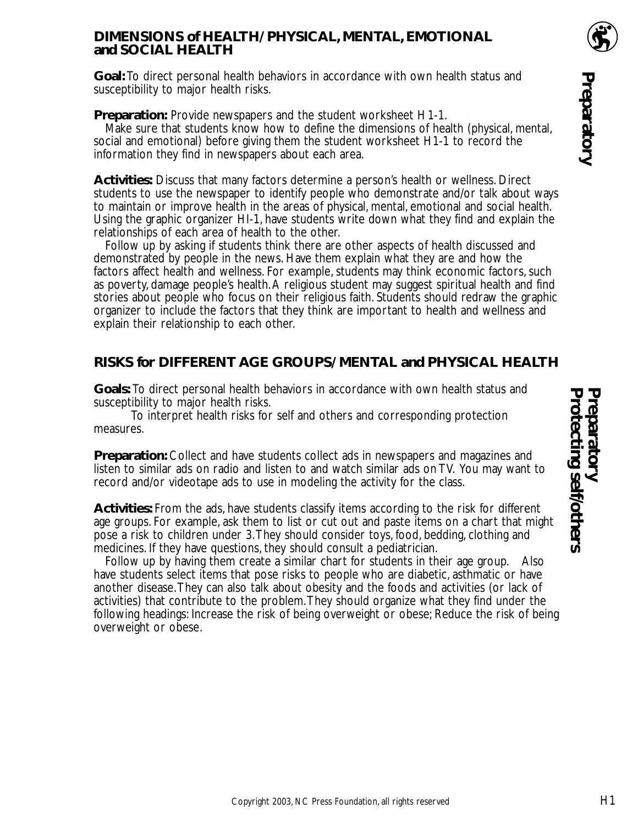#### **DIMENSIONS of HEALTH/ PHYSICAL, MENTAL, EMOTIONAL and SOCIAL HEALTH**

**Goal:** To direct personal health behaviors in accordance with own health status and susceptibility to major health risks.

#### **Preparation:** Provide newspapers and the student worksheet H1-1.

Make sure that students know how to define the dimensions of health (physical, mental, social and emotional) before giving them the student worksheet H1-1 to record the information they find in newspapers about each area.

**Activities:** Discuss that many factors determine a person's health or wellness. Direct students to use the newspaper to identify people who demonstrate and/or talk about ways to maintain or improve health in the areas of physical, mental, emotional and social health. Using the graphic organizer HI-1, have students write down what they find and explain the relationships of each area of health to the other.

Follow up by asking if students think there are other aspects of health discussed and demonstrated by people in the news. Have them explain what they are and how the factors affect health and wellness. For example, students may think economic factors, such as poverty, damage people's health.A religious student may suggest spiritual health and find stories about people who focus on their religious faith. Students should redraw the graphic organizer to include the factors that they think are important to health and wellness and explain their relationship to each other.

#### **RISKS for DIFFERENT AGE GROUPS/ MENTAL and PHYSICAL HEALTH**

**Goals:** To direct personal health behaviors in accordance with own health status and susceptibility to major health risks.

To interpret health risks for self and others and corresponding protection measures.

**Preparation:** Collect and have students collect ads in newspapers and magazines and listen to similar ads on radio and listen to and watch similar ads on TV. You may want to record and/or videotape ads to use in modeling the activity for the class.

**Activities:** From the ads, have students classify items according to the risk for different age groups. For example, ask them to list or cut out and paste items on a chart that might pose a risk to children under 3.They should consider toys, food, bedding, clothing and medicines. If they have questions, they should consult a pediatrician.

Follow up by having them create a similar chart for students in their age group. Also have students select items that pose risks to people who are diabetic, asthmatic or have another disease.They can also talk about obesity and the foods and activities (or lack of activities) that contribute to the problem.They should organize what they find under the following headings: Increase the risk of being overweight or obese; Reduce the risk of being overweight or obese.

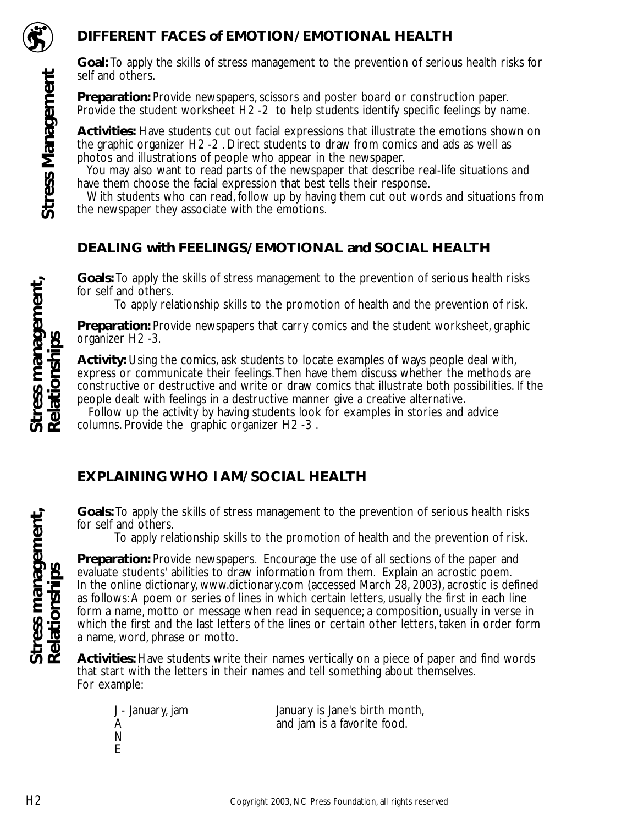

#### **DIFFERENT FACES of EMOTION/ EMOTIONAL HEALTH**

**Goal:** To apply the skills of stress management to the prevention of serious health risks for self and others.

**Preparation:** Provide newspapers, scissors and poster board or construction paper. Provide the student worksheet H2 -2 to help students identify specific feelings by name.

**Activities:** Have students cut out facial expressions that illustrate the emotions shown on the graphic organizer H2 -2 . Direct students to draw from comics and ads as well as photos and illustrations of people who appear in the newspaper.

You may also want to read parts of the newspaper that describe real-life situations and have them choose the facial expression that best tells their response.

With students who can read, follow up by having them cut out words and situations from the newspaper they associate with the emotions.

#### **DEALING with FEELINGS/ EMOTIONAL and SOCIAL HEALTH**

**Goals:** To apply the skills of stress management to the prevention of serious health risks for self and others.

To apply relationship skills to the promotion of health and the prevention of risk.

**Preparation:** Provide newspapers that carry comics and the student worksheet, graphic organizer H2 -3.

**Activity:** Using the comics, ask students to locate examples of ways people deal with, express or communicate their feelings.Then have them discuss whether the methods are constructive or destructive and write or draw comics that illustrate both possibilities. If the people dealt with feelings in a destructive manner give a creative alternative.

Follow up the activity by having students look for examples in stories and advice columns. Provide the graphic organizer H2 -3 .

## **EXPLAINING WHO I AM/ SOCIAL HEALTH**

**Goals:** To apply the skills of stress management to the prevention of serious health risks for self and others.

To apply relationship skills to the promotion of health and the prevention of risk.

**Preparation:** Provide newspapers. Encourage the use of all sections of the paper and evaluate students' abilities to draw information from them. Explain an acrostic poem. In the online dictionary, www.dictionary.com (accessed March 28, 2003), acrostic is defined as follows:A poem or series of lines in which certain letters, usually the first in each line form a name, motto or message when read in sequence; a composition, usually in verse in which the first and the last letters of the lines or certain other letters, taken in order form a name, word, phrase or motto.

**Activities:** Have students write their names vertically on a piece of paper and find words that start with the letters in their names and tell something about themselves. For example:

January is Jane's birth month, and jam is a favorite food.

Stress management,<br>Relationships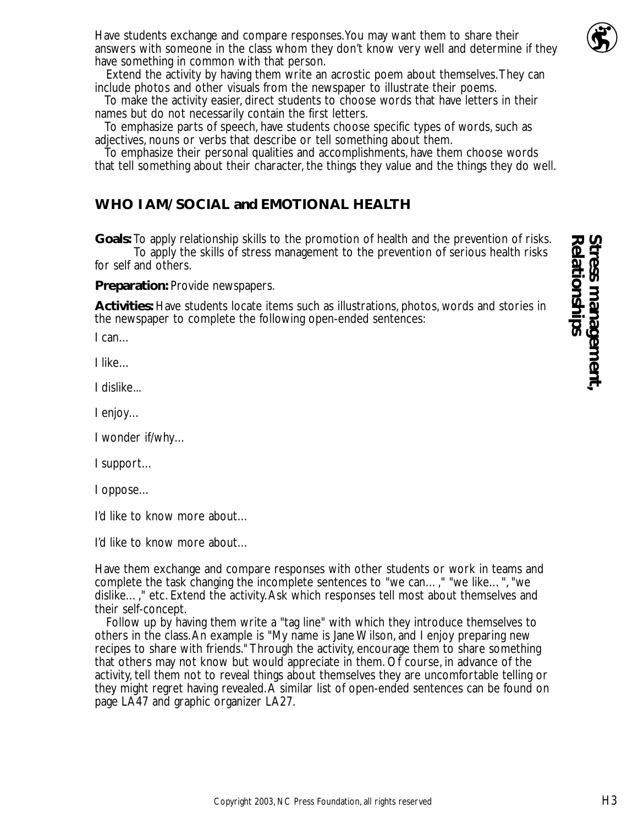

Have students exchange and compare responses.You may want them to share their answers with someone in the class whom they don't know very well and determine if they have something in common with that person.

Extend the activity by having them write an acrostic poem about themselves.They can include photos and other visuals from the newspaper to illustrate their poems.

To make the activity easier, direct students to choose words that have letters in their names but do not necessarily contain the first letters.

To emphasize parts of speech, have students choose specific types of words, such as adjectives, nouns or verbs that describe or tell something about them.

To emphasize their personal qualities and accomplishments, have them choose words that tell something about their character, the things they value and the things they do well.

### **WHO I AM/ SOCIAL and EMOTIONAL HEALTH**

**Goals:** To apply relationship skills to the promotion of health and the prevention of risks. To apply the skills of stress management to the prevention of serious health risks for self and others.

**Preparation:** Provide newspapers.

**Activities:** Have students locate items such as illustrations, photos, words and stories in the newspaper to complete the following open-ended sentences:

I can…

I like…

I dislike...

I enjoy…

I wonder if/why…

I support…

I oppose…

I'd like to know more about…

I'd like to know more about…

Have them exchange and compare responses with other students or work in teams and complete the task changing the incomplete sentences to "we can…," "we like…", "we dislike…," etc. Extend the activity.Ask which responses tell most about themselves and their self-concept.

Follow up by having them write a "tag line" with which they introduce themselves to others in the class.An example is "My name is Jane Wilson, and I enjoy preparing new recipes to share with friends." Through the activity, encourage them to share something that others may not know but would appreciate in them. Of course, in advance of the activity, tell them not to reveal things about themselves they are uncomfortable telling or they might regret having revealed.A similar list of open-ended sentences can be found on page LA47 and graphic organizer LA27.

**Relationships**

Stress management<br>Relationships **Stress management,**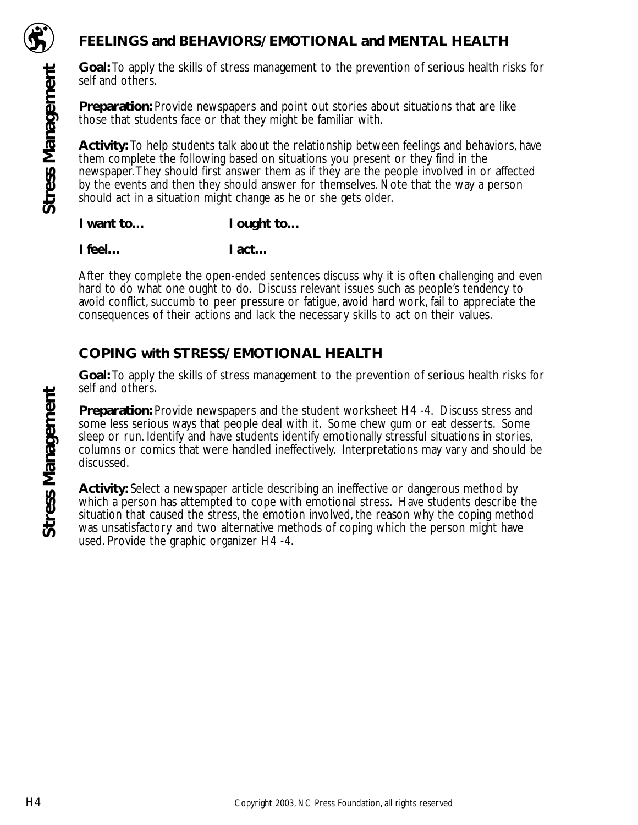

**Stress Management**

**Stress Management** 

**Goal:** To apply the skills of stress management to the prevention of serious health risks for self and others.

**Preparation:** Provide newspapers and point out stories about situations that are like those that students face or that they might be familiar with.

**Activity:** To help students talk about the relationship between feelings and behaviors, have them complete the following based on situations you present or they find in the newspaper.They should first answer them as if they are the people involved in or affected by the events and then they should answer for themselves. Note that the way a person should act in a situation might change as he or she gets older.

I want to... **I** ought to...

**I feel… I act…**

After they complete the open-ended sentences discuss why it is often challenging and even hard to do what one ought to do. Discuss relevant issues such as people's tendency to avoid conflict, succumb to peer pressure or fatigue, avoid hard work, fail to appreciate the consequences of their actions and lack the necessary skills to act on their values.

#### **COPING with STRESS/ EMOTIONAL HEALTH**

**Goal:** To apply the skills of stress management to the prevention of serious health risks for self and others.

**Preparation:** Provide newspapers and the student worksheet H4 -4. Discuss stress and some less serious ways that people deal with it. Some chew gum or eat desserts. Some sleep or run. Identify and have students identify emotionally stressful situations in stories, columns or comics that were handled ineffectively. Interpretations may vary and should be discussed.

**Activity:** Select a newspaper article describing an ineffective or dangerous method by which a person has attempted to cope with emotional stress. Have students describe the situation that caused the stress, the emotion involved, the reason why the coping method was unsatisfactory and two alternative methods of coping which the person might have used. Provide the graphic organizer H4 -4.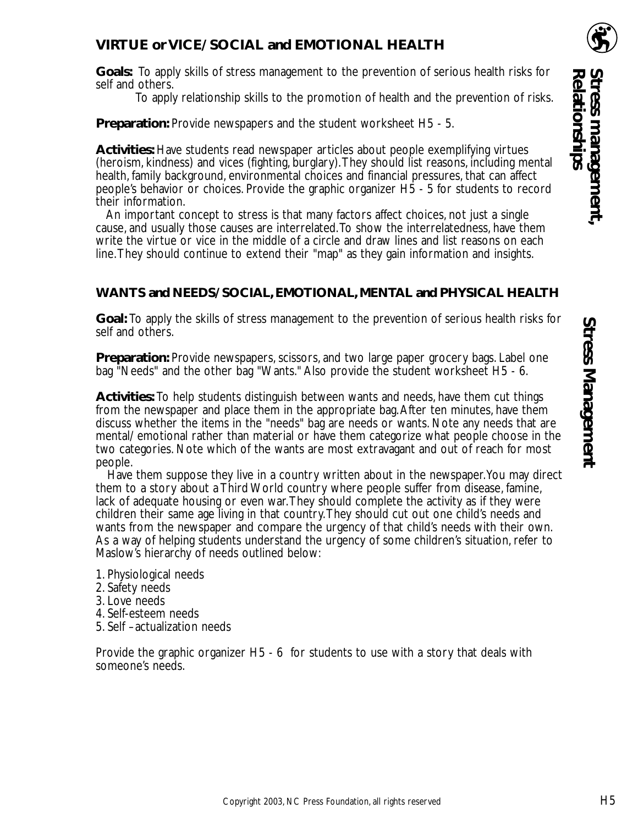#### **VIRTUE or VICE/ SOCIAL and EMOTIONAL HEALTH**

**Goals:** To apply skills of stress management to the prevention of serious health risks for self and others.

To apply relationship skills to the promotion of health and the prevention of risks.

**Preparation:** Provide newspapers and the student worksheet H5 - 5.

**Activities:** Have students read newspaper articles about people exemplifying virtues (heroism, kindness) and vices (fighting, burglary).They should list reasons, including mental health, family background, environmental choices and financial pressures, that can affect people's behavior or choices. Provide the graphic organizer H5 - 5 for students to record their information.

An important concept to stress is that many factors affect choices, not just a single cause, and usually those causes are interrelated.To show the interrelatedness, have them write the virtue or vice in the middle of a circle and draw lines and list reasons on each line.They should continue to extend their "map" as they gain information and insights.

#### **WANTS and NEEDS/ SOCIAL, EMOTIONAL, MENTAL and PHYSICAL HEALTH**

**Goal:** To apply the skills of stress management to the prevention of serious health risks for self and others.

**Preparation:** Provide newspapers, scissors, and two large paper grocery bags. Label one bag "Needs" and the other bag "Wants." Also provide the student worksheet H5 - 6.

**Activities:** To help students distinguish between wants and needs, have them cut things from the newspaper and place them in the appropriate bag.After ten minutes, have them discuss whether the items in the "needs" bag are needs or wants. Note any needs that are mental/ emotional rather than material or have them categorize what people choose in the two categories. Note which of the wants are most extravagant and out of reach for most people.

Have them suppose they live in a country written about in the newspaper.You may direct them to a story about a Third World country where people suffer from disease, famine, lack of adequate housing or even war.They should complete the activity as if they were children their same age living in that country.They should cut out one child's needs and wants from the newspaper and compare the urgency of that child's needs with their own. As a way of helping students understand the urgency of some children's situation, refer to Maslow's hierarchy of needs outlined below:

- 1. Physiological needs
- 2. Safety needs
- 3. Love needs
- 4. Self-esteem needs
- 5. Self –actualization needs

Provide the graphic organizer H5 - 6 for students to use with a story that deals with someone's needs.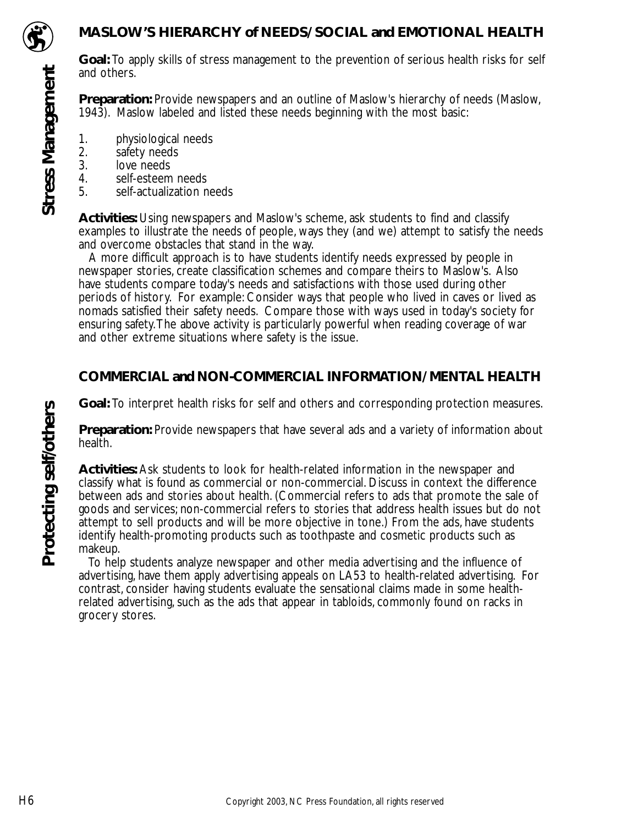

**Stress Management**

**Stress Management** 

#### **MASLOW'S HIERARCHY of NEEDS/ SOCIAL and EMOTIONAL HEALTH**

**Goal:** To apply skills of stress management to the prevention of serious health risks for self and others.

**Preparation:** Provide newspapers and an outline of Maslow's hierarchy of needs (Maslow, 1943). Maslow labeled and listed these needs beginning with the most basic:

- 1. physiological needs<br>2. safety needs
- 2. safety needs<br>3. love needs
- 3. love needs<br>4. self-esteem
- 4. self-esteem needs<br>5. self-actualization n
- self-actualization needs

**Activities:** Using newspapers and Maslow's scheme, ask students to find and classify examples to illustrate the needs of people, ways they (and we) attempt to satisfy the needs and overcome obstacles that stand in the way.

A more difficult approach is to have students identify needs expressed by people in newspaper stories, create classification schemes and compare theirs to Maslow's. Also have students compare today's needs and satisfactions with those used during other periods of history. For example: Consider ways that people who lived in caves or lived as nomads satisfied their safety needs. Compare those with ways used in today's society for ensuring safety.The above activity is particularly powerful when reading coverage of war and other extreme situations where safety is the issue.

## **COMMERCIAL and NON-COMMERCIAL INFORMATION/ MENTAL HEALTH**

**Goal:** To interpret health risks for self and others and corresponding protection measures.

**Preparation:** Provide newspapers that have several ads and a variety of information about health.

**Activities:** Ask students to look for health-related information in the newspaper and classify what is found as commercial or non-commercial. Discuss in context the difference between ads and stories about health. (Commercial refers to ads that promote the sale of goods and services; non-commercial refers to stories that address health issues but do not attempt to sell products and will be more objective in tone.) From the ads, have students identify health-promoting products such as toothpaste and cosmetic products such as makeup.

To help students analyze newspaper and other media advertising and the influence of advertising, have them apply advertising appeals on LA53 to health-related advertising. For contrast, consider having students evaluate the sensational claims made in some healthrelated advertising, such as the ads that appear in tabloids, commonly found on racks in grocery stores.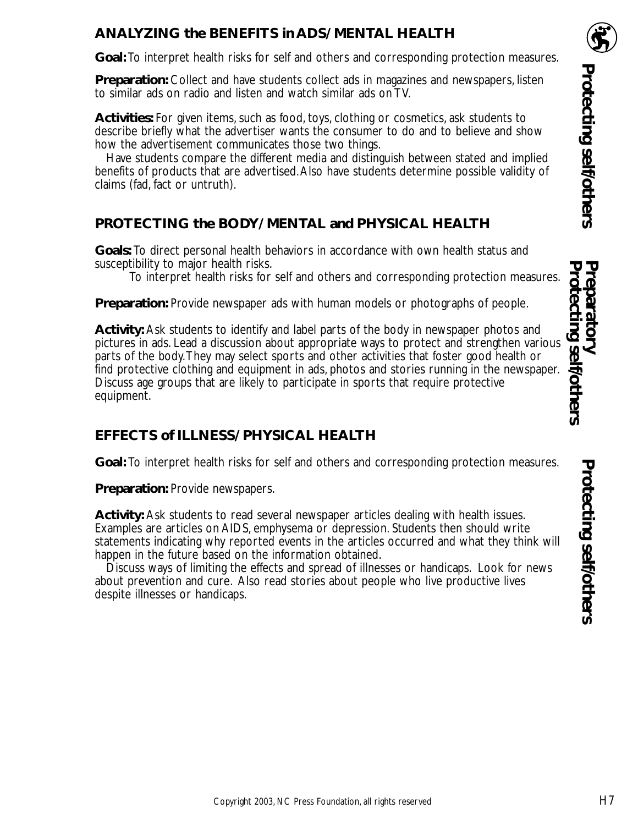# **ANALYZING the BENEFITS in ADS/ MENTAL HEALTH**

**Goal:** To interpret health risks for self and others and corresponding protection measures.

**Preparation:** Collect and have students collect ads in magazines and newspapers, listen to similar ads on radio and listen and watch similar ads on TV.

**Activities:** For given items, such as food, toys, clothing or cosmetics, ask students to describe briefly what the advertiser wants the consumer to do and to believe and show how the advertisement communicates those two things.

Have students compare the different media and distinguish between stated and implied benefits of products that are advertised.Also have students determine possible validity of claims (fad, fact or untruth).

## **PROTECTING the BODY/ MENTAL and PHYSICAL HEALTH**

**Goals:** To direct personal health behaviors in accordance with own health status and susceptibility to major health risks.

To interpret health risks for self and others and corresponding protection measures.

**Preparation:** Provide newspaper ads with human models or photographs of people.

**Activity:** Ask students to identify and label parts of the body in newspaper photos and pictures in ads. Lead a discussion about appropriate ways to protect and strengthen various parts of the body.They may select sports and other activities that foster good health or find protective clothing and equipment in ads, photos and stories running in the newspaper. Discuss age groups that are likely to participate in sports that require protective equipment.

# **EFFECTS of ILLNESS/ PHYSICAL HEALTH**

**Goal:** To interpret health risks for self and others and corresponding protection measures.

**Preparation:** Provide newspapers.

**Activity:** Ask students to read several newspaper articles dealing with health issues. Examples are articles on AIDS, emphysema or depression. Students then should write statements indicating why reported events in the articles occurred and what they think will happen in the future based on the information obtained.

Discuss ways of limiting the effects and spread of illnesses or handicaps. Look for news about prevention and cure. Also read stories about people who live productive lives despite illnesses or handicaps.

Preparatory<br>Protecting self/others **Protecting self/others Protecting self/others Preparatory**

Protecting self/others

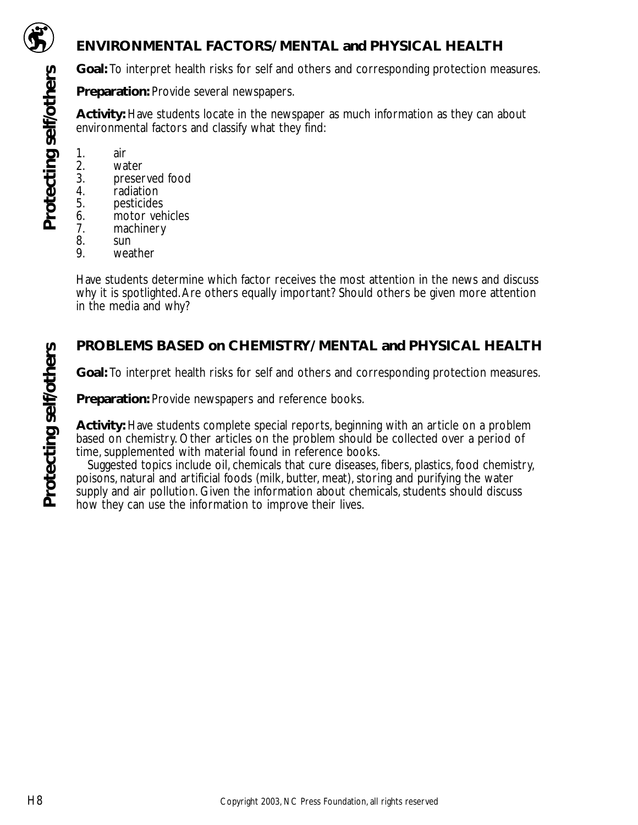

**Protecting self/others**

Protecting self/others

### **ENVIRONMENTAL FACTORS/ MENTAL and PHYSICAL HEALTH**

**Goal:** To interpret health risks for self and others and corresponding protection measures.

**Preparation:** Provide several newspapers.

**Activity:** Have students locate in the newspaper as much information as they can about environmental factors and classify what they find:

- 
- 1. air 2. water<br>3. preser
- 3. preserved food<br>4. radiation
- 4. radiation<br>5. pesticides
- 
- 5. pesticides<br>6. motor veh 6. motor vehicles<br>7. machinery
- 7. machinery<br>8. sun
- 8. sun<br>9. wea
- weather

Have students determine which factor receives the most attention in the news and discuss why it is spotlighted.Are others equally important? Should others be given more attention in the media and why?

## **PROBLEMS BASED on CHEMISTRY/ MENTAL and PHYSICAL HEALTH**

**Goal:** To interpret health risks for self and others and corresponding protection measures.

**Preparation:** Provide newspapers and reference books.

**Activity:** Have students complete special reports, beginning with an article on a problem based on chemistry. Other articles on the problem should be collected over a period of time, supplemented with material found in reference books.

Suggested topics include oil, chemicals that cure diseases, fibers, plastics, food chemistry, poisons, natural and artificial foods (milk, butter, meat), storing and purifying the water supply and air pollution. Given the information about chemicals, students should discuss how they can use the information to improve their lives.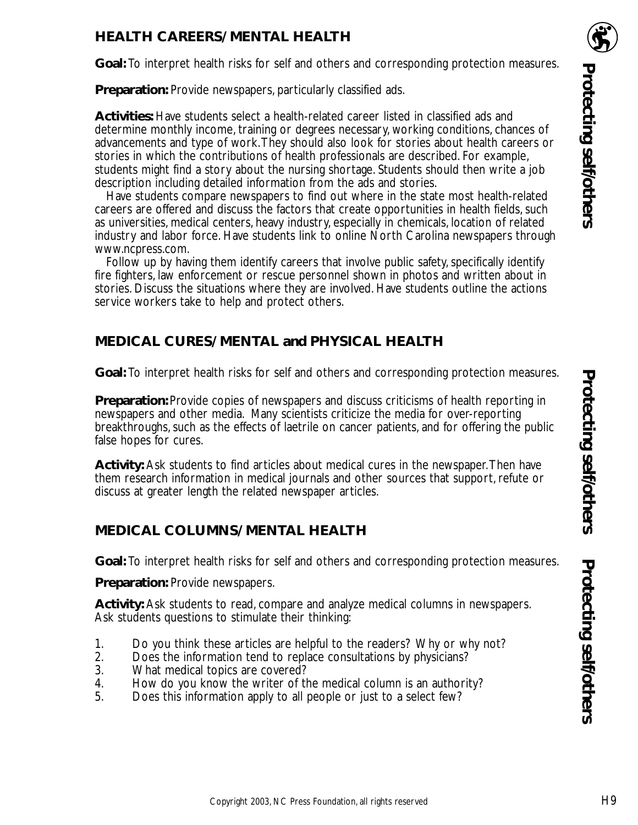### **HEALTH CAREERS/ MENTAL HEALTH**

**Goal:** To interpret health risks for self and others and corresponding protection measures.

**Preparation:** Provide newspapers, particularly classified ads.

**Activities:** Have students select a health-related career listed in classified ads and determine monthly income, training or degrees necessary, working conditions, chances of advancements and type of work.They should also look for stories about health careers or stories in which the contributions of health professionals are described. For example, students might find a story about the nursing shortage. Students should then write a job description including detailed information from the ads and stories.

Have students compare newspapers to find out where in the state most health-related careers are offered and discuss the factors that create opportunities in health fields, such as universities, medical centers, heavy industry, especially in chemicals, location of related industry and labor force. Have students link to online North Carolina newspapers through www.ncpress.com.

Follow up by having them identify careers that involve public safety, specifically identify fire fighters, law enforcement or rescue personnel shown in photos and written about in stories. Discuss the situations where they are involved. Have students outline the actions service workers take to help and protect others.

#### **MEDICAL CURES/ MENTAL and PHYSICAL HEALTH**

**Goal:** To interpret health risks for self and others and corresponding protection measures.

**Preparation:** Provide copies of newspapers and discuss criticisms of health reporting in newspapers and other media. Many scientists criticize the media for over-reporting breakthroughs, such as the effects of laetrile on cancer patients, and for offering the public false hopes for cures.

**Activity:** Ask students to find articles about medical cures in the newspaper.Then have them research information in medical journals and other sources that support, refute or discuss at greater length the related newspaper articles.

#### **MEDICAL COLUMNS/ MENTAL HEALTH**

**Goal:** To interpret health risks for self and others and corresponding protection measures.

**Preparation:** Provide newspapers.

**Activity:** Ask students to read, compare and analyze medical columns in newspapers. Ask students questions to stimulate their thinking:

- 1. Do you think these articles are helpful to the readers? Why or why not?
- 2. Does the information tend to replace consultations by physicians?<br>3. What medical topics are covered?
- What medical topics are covered?
- 4. How do you know the writer of the medical column is an authority?
- 5. Does this information apply to all people or just to a select few?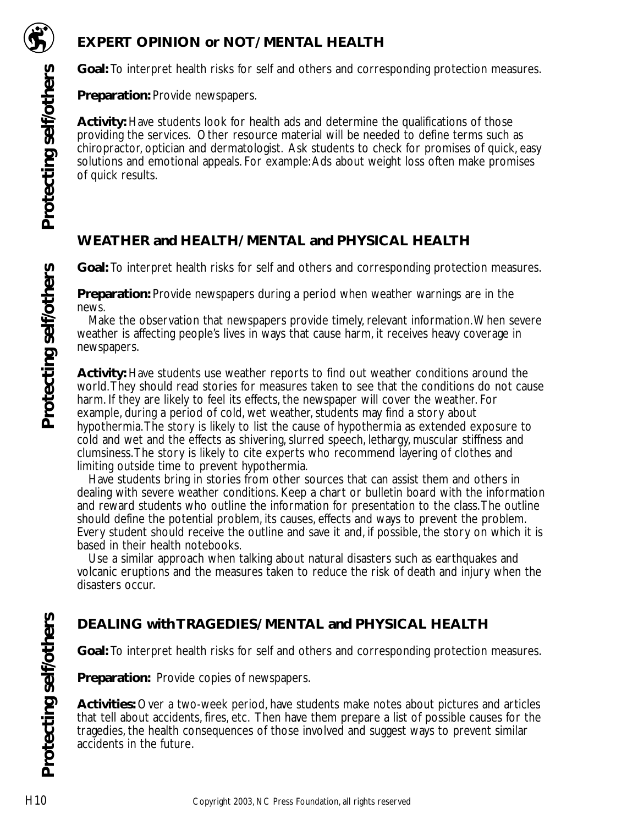

**Goal:** To interpret health risks for self and others and corresponding protection measures.

**Preparation:** Provide newspapers.

**Activity:** Have students look for health ads and determine the qualifications of those providing the services. Other resource material will be needed to define terms such as chiropractor, optician and dermatologist. Ask students to check for promises of quick, easy solutions and emotional appeals. For example:Ads about weight loss often make promises of quick results.

## **WEATHER and HEALTH/ MENTAL and PHYSICAL HEALTH**

**Goal:** To interpret health risks for self and others and corresponding protection measures.

**Preparation:** Provide newspapers during a period when weather warnings are in the news.

Make the observation that newspapers provide timely, relevant information.When severe weather is affecting people's lives in ways that cause harm, it receives heavy coverage in newspapers.

**Activity:** Have students use weather reports to find out weather conditions around the world.They should read stories for measures taken to see that the conditions do not cause harm. If they are likely to feel its effects, the newspaper will cover the weather. For example, during a period of cold, wet weather, students may find a story about hypothermia.The story is likely to list the cause of hypothermia as extended exposure to cold and wet and the effects as shivering, slurred speech, lethargy, muscular stiffness and clumsiness.The story is likely to cite experts who recommend layering of clothes and limiting outside time to prevent hypothermia.

Have students bring in stories from other sources that can assist them and others in dealing with severe weather conditions. Keep a chart or bulletin board with the information and reward students who outline the information for presentation to the class.The outline should define the potential problem, its causes, effects and ways to prevent the problem. Every student should receive the outline and save it and, if possible, the story on which it is based in their health notebooks.

Use a similar approach when talking about natural disasters such as earthquakes and volcanic eruptions and the measures taken to reduce the risk of death and injury when the disasters occur.

# **DEALING with TRAGEDIES/ MENTAL and PHYSICAL HEALTH**

**Goal:** To interpret health risks for self and others and corresponding protection measures.

**Preparation:** Provide copies of newspapers.

**Activities:** Over a two-week period, have students make notes about pictures and articles that tell about accidents, fires, etc. Then have them prepare a list of possible causes for the tragedies, the health consequences of those involved and suggest ways to prevent similar accidents in the future.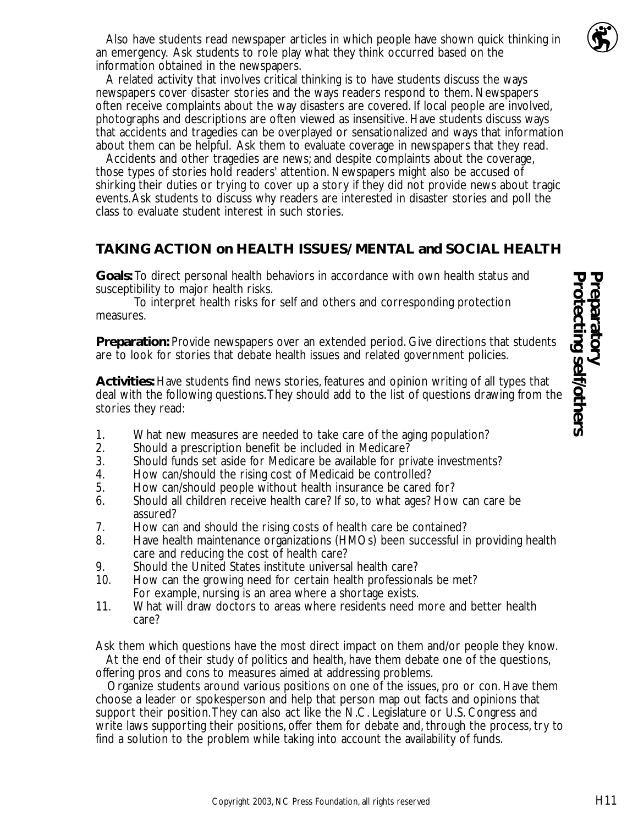

Also have students read newspaper articles in which people have shown quick thinking in an emergency. Ask students to role play what they think occurred based on the information obtained in the newspapers.

A related activity that involves critical thinking is to have students discuss the ways newspapers cover disaster stories and the ways readers respond to them. Newspapers often receive complaints about the way disasters are covered. If local people are involved, photographs and descriptions are often viewed as insensitive. Have students discuss ways that accidents and tragedies can be overplayed or sensationalized and ways that information about them can be helpful. Ask them to evaluate coverage in newspapers that they read.

Accidents and other tragedies are news; and despite complaints about the coverage, those types of stories hold readers' attention. Newspapers might also be accused of shirking their duties or trying to cover up a story if they did not provide news about tragic events.Ask students to discuss why readers are interested in disaster stories and poll the class to evaluate student interest in such stories.

#### **TAKING ACTION on HEALTH ISSUES/ MENTAL and SOCIAL HEALTH**

**Goals:** To direct personal health behaviors in accordance with own health status and susceptibility to major health risks.

To interpret health risks for self and others and corresponding protection measures.

**Preparation:** Provide newspapers over an extended period. Give directions that students are to look for stories that debate health issues and related government policies.

**Activities:** Have students find news stories, features and opinion writing of all types that deal with the following questions.They should add to the list of questions drawing from the stories they read:

- 1. What new measures are needed to take care of the aging population?<br>2. Should a prescription benefit be included in Medicare?
- 2. Should a prescription benefit be included in Medicare?<br>3. Should funds set aside for Medicare be available for pri
- 3. Should funds set aside for Medicare be available for private investments?
- 
- 4. How can/should the rising cost of Medicaid be controlled?<br>5. How can/should people without health insurance be cared 5. How can/should people without health insurance be cared for?
- 6. Should all children receive health care? If so, to what ages? How can care be assured?
- 7. How can and should the rising costs of health care be contained?<br>8. Have health maintenance organizations (HMOs) been successful in
- 8. Have health maintenance organizations (HMOs) been successful in providing health care and reducing the cost of health care?
- 9. Should the United States institute universal health care?<br>10. How can the growing need for certain health profession
- How can the growing need for certain health professionals be met? For example, nursing is an area where a shortage exists.
- 11. What will draw doctors to areas where residents need more and better health care?

Ask them which questions have the most direct impact on them and/or people they know. At the end of their study of politics and health, have them debate one of the questions, offering pros and cons to measures aimed at addressing problems.

Organize students around various positions on one of the issues, pro or con. Have them choose a leader or spokesperson and help that person map out facts and opinions that support their position.They can also act like the N.C. Legislature or U.S. Congress and write laws supporting their positions, offer them for debate and, through the process, try to find a solution to the problem while taking into account the availability of funds.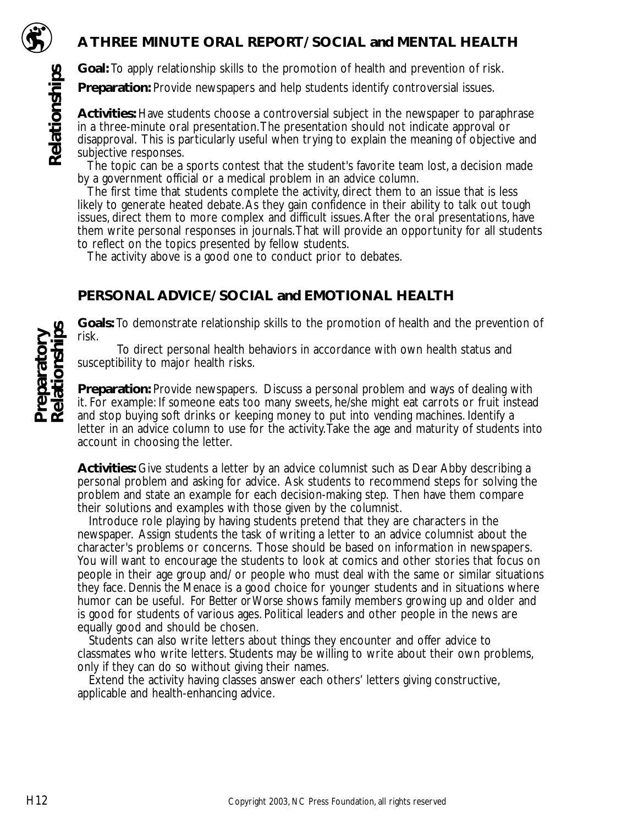

**Relationships**

Relationships

#### **A THREE MINUTE ORAL REPORT/ SOCIAL and MENTAL HEALTH**

**Goal:** To apply relationship skills to the promotion of health and prevention of risk.

**Preparation:** Provide newspapers and help students identify controversial issues.

**Activities:** Have students choose a controversial subject in the newspaper to paraphrase in a three-minute oral presentation.The presentation should not indicate approval or disapproval. This is particularly useful when trying to explain the meaning of objective and subjective responses.

The topic can be a sports contest that the student's favorite team lost, a decision made by a government official or a medical problem in an advice column.

The first time that students complete the activity, direct them to an issue that is less likely to generate heated debate.As they gain confidence in their ability to talk out tough issues, direct them to more complex and difficult issues.After the oral presentations, have them write personal responses in journals.That will provide an opportunity for all students to reflect on the topics presented by fellow students.

The activity above is a good one to conduct prior to debates.

## **PERSONAL ADVICE/ SOCIAL and EMOTIONAL HEALTH**

**Goals:** To demonstrate relationship skills to the promotion of health and the prevention of risk.

To direct personal health behaviors in accordance with own health status and susceptibility to major health risks.

**Preparation:** Provide newspapers. Discuss a personal problem and ways of dealing with it. For example: If someone eats too many sweets, he/she might eat carrots or fruit instead and stop buying soft drinks or keeping money to put into vending machines. Identify a letter in an advice column to use for the activity.Take the age and maturity of students into account in choosing the letter.

**Activities:** Give students a letter by an advice columnist such as Dear Abby describing a personal problem and asking for advice. Ask students to recommend steps for solving the problem and state an example for each decision-making step. Then have them compare their solutions and examples with those given by the columnist.

Introduce role playing by having students pretend that they are characters in the newspaper. Assign students the task of writing a letter to an advice columnist about the character's problems or concerns. Those should be based on information in newspapers. You will want to encourage the students to look at comics and other stories that focus on people in their age group and/ or people who must deal with the same or similar situations they face. *Dennis the Menace* is a good choice for younger students and in situations where humor can be useful. *For Better or Worse* shows family members growing up and older and is good for students of various ages. Political leaders and other people in the news are equally good and should be chosen.

Students can also write letters about things they encounter and offer advice to classmates who write letters. Students may be willing to write about their own problems, only if they can do so without giving their names.

Extend the activity having classes answer each others' letters giving constructive, applicable and health-enhancing advice.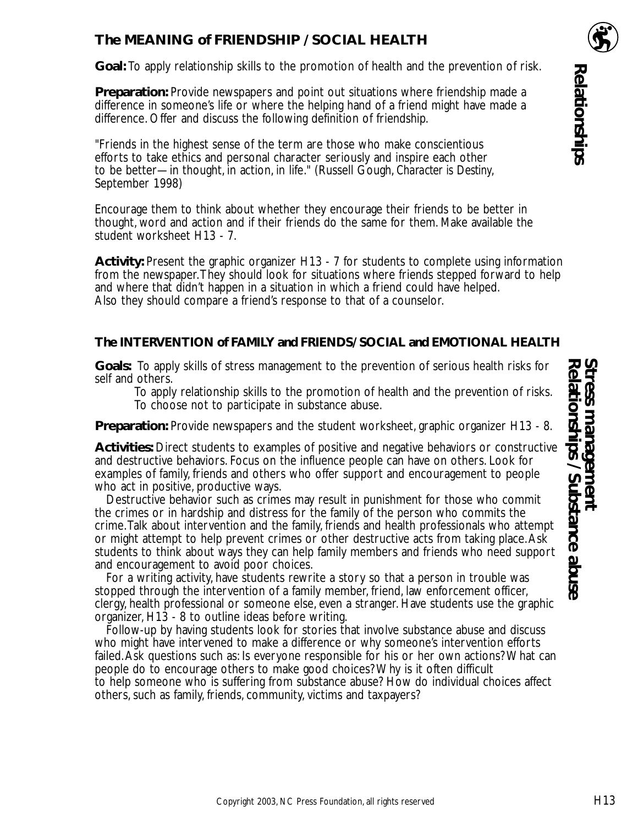## **The MEANING of FRIENDSHIP / SOCIAL HEALTH**

**Goal:** To apply relationship skills to the promotion of health and the prevention of risk.

**Preparation:** Provide newspapers and point out situations where friendship made a difference in someone's life or where the helping hand of a friend might have made a difference. Offer and discuss the following definition of friendship.

"Friends in the highest sense of the term are those who make conscientious efforts to take ethics and personal character seriously and inspire each other to be better—in thought, in action, in life." (Russell Gough, *Character is Destiny*, September 1998)

Encourage them to think about whether they encourage their friends to be better in thought, word and action and if their friends do the same for them. Make available the student worksheet H13 - 7.

**Activity:** Present the graphic organizer H13 - 7 for students to complete using information from the newspaper.They should look for situations where friends stepped forward to help and where that didn't happen in a situation in which a friend could have helped. Also they should compare a friend's response to that of a counselor.

#### **The INTERVENTION of FAMILY and FRIENDS/ SOCIAL and EMOTIONAL HEALTH**

**Goals:** To apply skills of stress management to the prevention of serious health risks for self and others.

To apply relationship skills to the promotion of health and the prevention of risks. To choose not to participate in substance abuse.

**Preparation:** Provide newspapers and the student worksheet, graphic organizer H13 - 8.

**Activities:** Direct students to examples of positive and negative behaviors or constructive and destructive behaviors. Focus on the influence people can have on others. Look for examples of family, friends and others who offer support and encouragement to people who act in positive, productive ways.

Destructive behavior such as crimes may result in punishment for those who commit the crimes or in hardship and distress for the family of the person who commits the crime.Talk about intervention and the family, friends and health professionals who attempt or might attempt to help prevent crimes or other destructive acts from taking place.Ask students to think about ways they can help family members and friends who need support and encouragement to avoid poor choices.

For a writing activity, have students rewrite a story so that a person in trouble was stopped through the intervention of a family member, friend, law enforcement officer, clergy, health professional or someone else, even a stranger. Have students use the graphic organizer, H13 - 8 to outline ideas before writing.

Follow-up by having students look for stories that involve substance abuse and discuss who might have intervened to make a difference or why someone's intervention efforts failed.Ask questions such as: Is everyone responsible for his or her own actions? What can people do to encourage others to make good choices? Why is it often difficult to help someone who is suffering from substance abuse? How do individual choices affect others, such as family, friends, community, victims and taxpayers?

**Relationships**

**Relationships**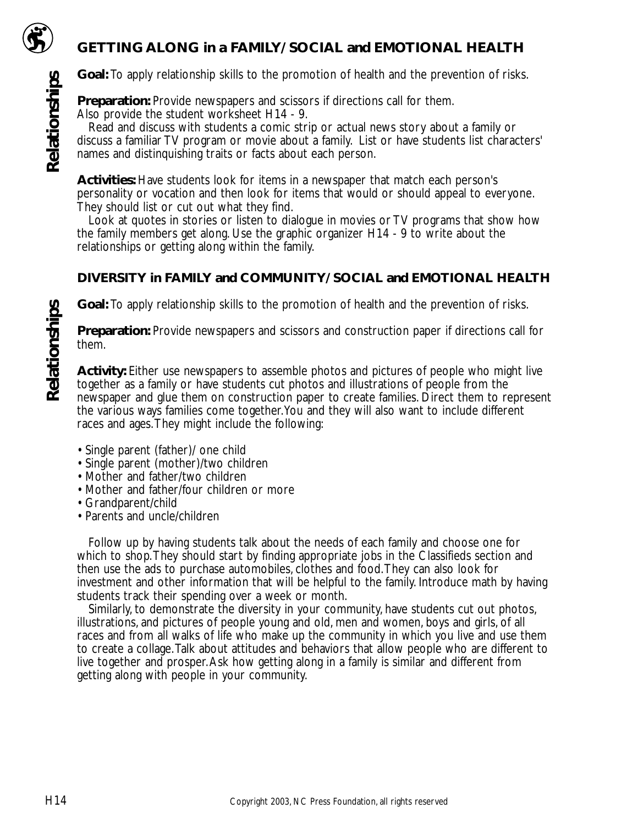

**Relationships**

Relationships

## **GETTING ALONG in a FAMILY/ SOCIAL and EMOTIONAL HEALTH**

**Goal:** To apply relationship skills to the promotion of health and the prevention of risks.

**Preparation:** Provide newspapers and scissors if directions call for them. Also provide the student worksheet H14 - 9.

Read and discuss with students a comic strip or actual news story about a family or discuss a familiar TV program or movie about a family. List or have students list characters' names and distinquishing traits or facts about each person.

**Activities:** Have students look for items in a newspaper that match each person's personality or vocation and then look for items that would or should appeal to everyone. They should list or cut out what they find.

Look at quotes in stories or listen to dialogue in movies or TV programs that show how the family members get along. Use the graphic organizer H14 - 9 to write about the relationships or getting along within the family.

#### **DIVERSITY in FAMILY and COMMUNITY/ SOCIAL and EMOTIONAL HEALTH**

**Goal:** To apply relationship skills to the promotion of health and the prevention of risks.

**Preparation:** Provide newspapers and scissors and construction paper if directions call for them.

**Activity:** Either use newspapers to assemble photos and pictures of people who might live together as a family or have students cut photos and illustrations of people from the newspaper and glue them on construction paper to create families. Direct them to represent the various ways families come together.You and they will also want to include different races and ages.They might include the following:

- Single parent (father)/ one child
- Single parent (mother)/two children
- Mother and father/two children
- Mother and father/four children or more
- Grandparent/child
- Parents and uncle/children

Follow up by having students talk about the needs of each family and choose one for which to shop.They should start by finding appropriate jobs in the Classifieds section and then use the ads to purchase automobiles, clothes and food.They can also look for investment and other information that will be helpful to the family. Introduce math by having students track their spending over a week or month.

Similarly, to demonstrate the diversity in your community, have students cut out photos, illustrations, and pictures of people young and old, men and women, boys and girls, of all races and from all walks of life who make up the community in which you live and use them to create a collage.Talk about attitudes and behaviors that allow people who are different to live together and prosper.Ask how getting along in a family is similar and different from getting along with people in your community.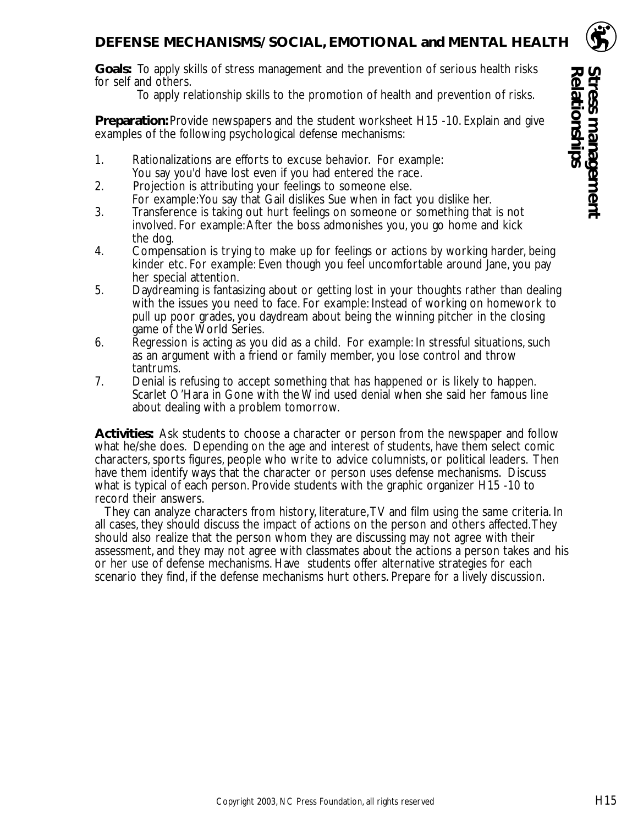#### **DEFENSE MECHANISMS/ SOCIAL, EMOTIONAL and MENTAL HEALTH**

**Goals:** To apply skills of stress management and the prevention of serious health risks for self and others.

To apply relationship skills to the promotion of health and prevention of risks.

**Preparation:** Provide newspapers and the student worksheet H15 -10. Explain and give examples of the following psychological defense mechanisms:

- 1. Rationalizations are efforts to excuse behavior. For example: You say you'd have lost even if you had entered the race.
- 2. Projection is attributing your feelings to someone else. For example:You say that Gail dislikes Sue when in fact you dislike her.
- 3. Transference is taking out hurt feelings on someone or something that is not involved. For example:After the boss admonishes you, you go home and kick the dog.
- 4. Compensation is trying to make up for feelings or actions by working harder, being kinder etc. For example: Even though you feel uncomfortable around Jane, you pay her special attention.
- 5. Daydreaming is fantasizing about or getting lost in your thoughts rather than dealing with the issues you need to face. For example: Instead of working on homework to pull up poor grades, you daydream about being the winning pitcher in the closing game of the World Series.
- 6. Regression is acting as you did as a child. For example: In stressful situations, such as an argument with a friend or family member, you lose control and throw tantrums.
- 7. Denial is refusing to accept something that has happened or is likely to happen. Scarlet O'Hara in Gone with the Wind used denial when she said her famous line about dealing with a problem tomorrow.

**Activities:** Ask students to choose a character or person from the newspaper and follow what he/she does. Depending on the age and interest of students, have them select comic characters, sports figures, people who write to advice columnists, or political leaders. Then have them identify ways that the character or person uses defense mechanisms. Discuss what is typical of each person. Provide students with the graphic organizer H15 -10 to record their answers.

They can analyze characters from history, literature,TV and film using the same criteria. In all cases, they should discuss the impact of actions on the person and others affected.They should also realize that the person whom they are discussing may not agree with their assessment, and they may not agree with classmates about the actions a person takes and his or her use of defense mechanisms. Have students offer alternative strategies for each scenario they find, if the defense mechanisms hurt others. Prepare for a lively discussion.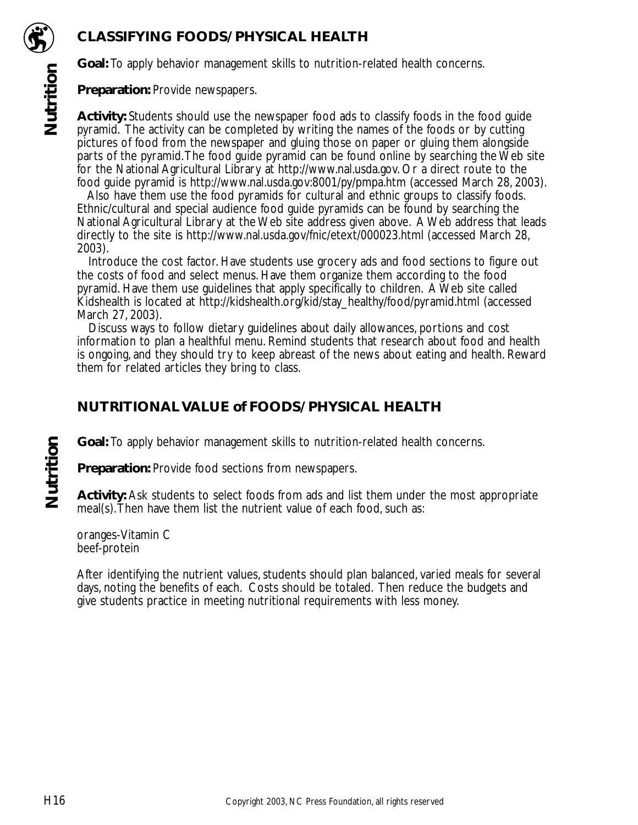# **CLASSIFYING FOODS/ PHYSICAL HEALTH**



**Nutrition**

Nutrition

**Goal:** To apply behavior management skills to nutrition-related health concerns.

**Preparation:** Provide newspapers.

**Activity:** Students should use the newspaper food ads to classify foods in the food guide pyramid. The activity can be completed by writing the names of the foods or by cutting pictures of food from the newspaper and gluing those on paper or gluing them alongside parts of the pyramid.The food guide pyramid can be found online by searching the Web site for the National Agricultural Library at http://www.nal.usda.gov. Or a direct route to the food guide pyramid is http://www.nal.usda.gov:8001/py/pmpa.htm (accessed March 28, 2003).

Also have them use the food pyramids for cultural and ethnic groups to classify foods. Ethnic/cultural and special audience food guide pyramids can be found by searching the National Agricultural Library at the Web site address given above. A Web address that leads directly to the site is http://www.nal.usda.gov/fnic/etext/000023.html (accessed March 28, 2003).

Introduce the cost factor. Have students use grocery ads and food sections to figure out the costs of food and select menus. Have them organize them according to the food pyramid. Have them use guidelines that apply specifically to children. A Web site called Kidshealth is located at http://kidshealth.org/kid/stay\_healthy/food/pyramid.html (accessed March 27, 2003).

Discuss ways to follow dietary guidelines about daily allowances, portions and cost information to plan a healthful menu. Remind students that research about food and health is ongoing, and they should try to keep abreast of the news about eating and health. Reward them for related articles they bring to class.

## **NUTRITIONAL VALUE of FOODS/ PHYSICAL HEALTH**

**Goal:** To apply behavior management skills to nutrition-related health concerns.

**Preparation:** Provide food sections from newspapers.

**Activity:** Ask students to select foods from ads and list them under the most appropriate meal(s).Then have them list the nutrient value of each food, such as:

oranges-Vitamin C beef-protein

After identifying the nutrient values, students should plan balanced, varied meals for several days, noting the benefits of each. Costs should be totaled. Then reduce the budgets and give students practice in meeting nutritional requirements with less money.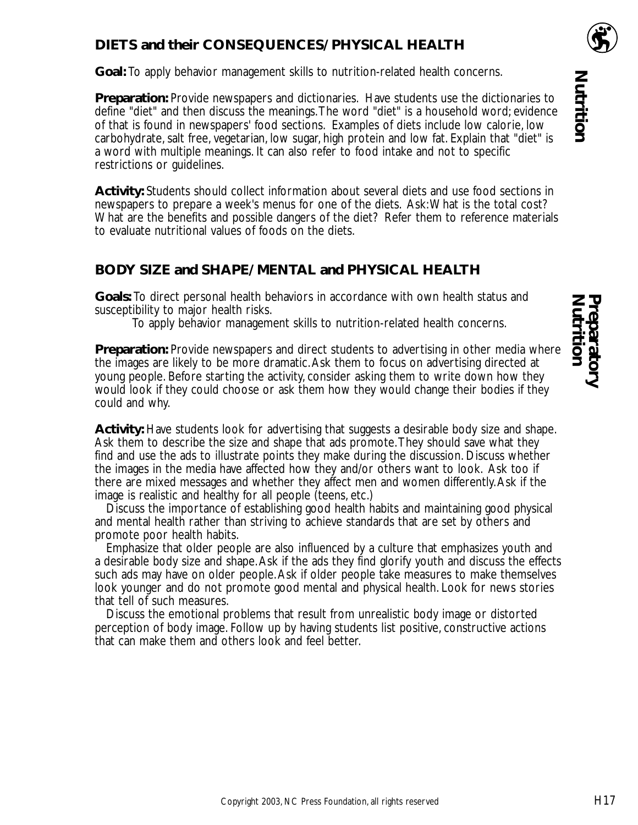### **DIETS and their CONSEQUENCES/ PHYSICAL HEALTH**

**Goal:** To apply behavior management skills to nutrition-related health concerns.

**Preparation:** Provide newspapers and dictionaries. Have students use the dictionaries to define "diet" and then discuss the meanings.The word "diet" is a household word; evidence of that is found in newspapers' food sections. Examples of diets include low calorie, low carbohydrate, salt free, vegetarian, low sugar, high protein and low fat. Explain that "diet" is a word with multiple meanings. It can also refer to food intake and not to specific restrictions or guidelines.

**Activity:** Students should collect information about several diets and use food sections in newspapers to prepare a week's menus for one of the diets. Ask:What is the total cost? What are the benefits and possible dangers of the diet? Refer them to reference materials to evaluate nutritional values of foods on the diets.

#### **BODY SIZE and SHAPE/ MENTAL and PHYSICAL HEALTH**

**Goals:** To direct personal health behaviors in accordance with own health status and susceptibility to major health risks.

To apply behavior management skills to nutrition-related health concerns.

**Preparation:** Provide newspapers and direct students to advertising in other media where the images are likely to be more dramatic.Ask them to focus on advertising directed at young people. Before starting the activity, consider asking them to write down how they would look if they could choose or ask them how they would change their bodies if they could and why.

**Activity:** Have students look for advertising that suggests a desirable body size and shape. Ask them to describe the size and shape that ads promote.They should save what they find and use the ads to illustrate points they make during the discussion. Discuss whether the images in the media have affected how they and/or others want to look. Ask too if there are mixed messages and whether they affect men and women differently.Ask if the image is realistic and healthy for all people (teens, etc.)

Discuss the importance of establishing good health habits and maintaining good physical and mental health rather than striving to achieve standards that are set by others and promote poor health habits.

Emphasize that older people are also influenced by a culture that emphasizes youth and a desirable body size and shape.Ask if the ads they find glorify youth and discuss the effects such ads may have on older people.Ask if older people take measures to make themselves look younger and do not promote good mental and physical health. Look for news stories that tell of such measures.

Discuss the emotional problems that result from unrealistic body image or distorted perception of body image. Follow up by having students list positive, constructive actions that can make them and others look and feel better.

**Nutrition Preparatory**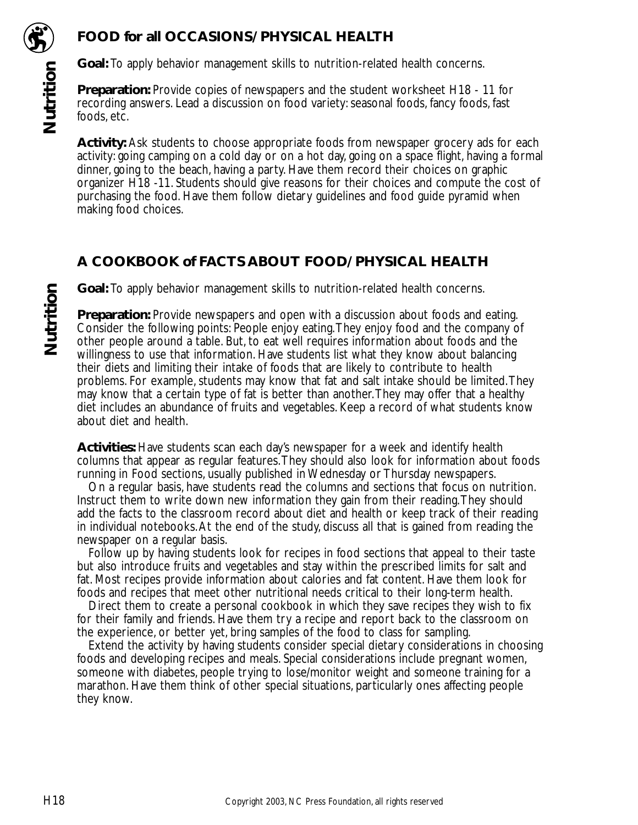

## **FOOD for all OCCASIONS/ PHYSICAL HEALTH**

**Goal:** To apply behavior management skills to nutrition-related health concerns.

**Preparation:** Provide copies of newspapers and the student worksheet H18 - 11 for recording answers. Lead a discussion on food variety: seasonal foods, fancy foods, fast foods, etc.

**Activity:** Ask students to choose appropriate foods from newspaper grocery ads for each activity: going camping on a cold day or on a hot day, going on a space flight, having a formal dinner, going to the beach, having a party. Have them record their choices on graphic organizer H18 -11. Students should give reasons for their choices and compute the cost of purchasing the food. Have them follow dietary guidelines and food guide pyramid when making food choices.

## **A COOKBOOK of FACTS ABOUT FOOD/ PHYSICAL HEALTH**

**Goal:** To apply behavior management skills to nutrition-related health concerns.

**Preparation:** Provide newspapers and open with a discussion about foods and eating. Consider the following points: People enjoy eating.They enjoy food and the company of other people around a table. But, to eat well requires information about foods and the willingness to use that information. Have students list what they know about balancing their diets and limiting their intake of foods that are likely to contribute to health problems. For example, students may know that fat and salt intake should be limited.They may know that a certain type of fat is better than another.They may offer that a healthy diet includes an abundance of fruits and vegetables. Keep a record of what students know about diet and health.

**Activities:** Have students scan each day's newspaper for a week and identify health columns that appear as regular features.They should also look for information about foods running in Food sections, usually published in Wednesday or Thursday newspapers.

On a regular basis, have students read the columns and sections that focus on nutrition. Instruct them to write down new information they gain from their reading.They should add the facts to the classroom record about diet and health or keep track of their reading in individual notebooks.At the end of the study, discuss all that is gained from reading the newspaper on a regular basis.

Follow up by having students look for recipes in food sections that appeal to their taste but also introduce fruits and vegetables and stay within the prescribed limits for salt and fat. Most recipes provide information about calories and fat content. Have them look for foods and recipes that meet other nutritional needs critical to their long-term health.

Direct them to create a personal cookbook in which they save recipes they wish to fix for their family and friends. Have them try a recipe and report back to the classroom on the experience, or better yet, bring samples of the food to class for sampling.

Extend the activity by having students consider special dietary considerations in choosing foods and developing recipes and meals. Special considerations include pregnant women, someone with diabetes, people trying to lose/monitor weight and someone training for a marathon. Have them think of other special situations, particularly ones affecting people they know.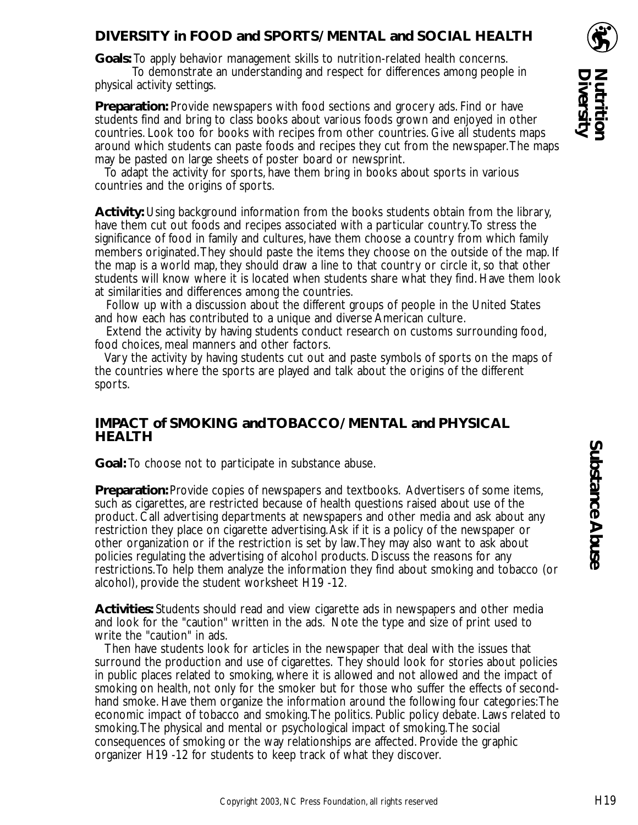#### **DIVERSITY in FOOD and SPORTS/ MENTAL and SOCIAL HEALTH**

**Goals:** To apply behavior management skills to nutrition-related health concerns.

To demonstrate an understanding and respect for differences among people in physical activity settings.

**Preparation:** Provide newspapers with food sections and grocery ads. Find or have students find and bring to class books about various foods grown and enjoyed in other countries. Look too for books with recipes from other countries. Give all students maps around which students can paste foods and recipes they cut from the newspaper.The maps may be pasted on large sheets of poster board or newsprint.

To adapt the activity for sports, have them bring in books about sports in various countries and the origins of sports.

**Activity:** Using background information from the books students obtain from the library, have them cut out foods and recipes associated with a particular country.To stress the significance of food in family and cultures, have them choose a country from which family members originated.They should paste the items they choose on the outside of the map. If the map is a world map, they should draw a line to that country or circle it, so that other students will know where it is located when students share what they find. Have them look at similarities and differences among the countries.

Follow up with a discussion about the different groups of people in the United States and how each has contributed to a unique and diverse American culture.

Extend the activity by having students conduct research on customs surrounding food, food choices, meal manners and other factors.

Vary the activity by having students cut out and paste symbols of sports on the maps of the countries where the sports are played and talk about the origins of the different sports.

#### **IMPACT of SMOKING and TOBACCO/ MENTAL and PHYSICAL HEALTH**

**Goal:** To choose not to participate in substance abuse.

**Preparation:** Provide copies of newspapers and textbooks. Advertisers of some items, such as cigarettes, are restricted because of health questions raised about use of the product. Call advertising departments at newspapers and other media and ask about any restriction they place on cigarette advertising.Ask if it is a policy of the newspaper or other organization or if the restriction is set by law.They may also want to ask about policies regulating the advertising of alcohol products. Discuss the reasons for any restrictions.To help them analyze the information they find about smoking and tobacco (or alcohol), provide the student worksheet H19 -12.

**Activities:** Students should read and view cigarette ads in newspapers and other media and look for the "caution" written in the ads. Note the type and size of print used to write the "caution" in ads.

Then have students look for articles in the newspaper that deal with the issues that surround the production and use of cigarettes. They should look for stories about policies in public places related to smoking, where it is allowed and not allowed and the impact of smoking on health, not only for the smoker but for those who suffer the effects of secondhand smoke. Have them organize the information around the following four categories:The economic impact of tobacco and smoking.The politics. Public policy debate. Laws related to smoking.The physical and mental or psychological impact of smoking.The social consequences of smoking or the way relationships are affected. Provide the graphic organizer H19 -12 for students to keep track of what they discover.

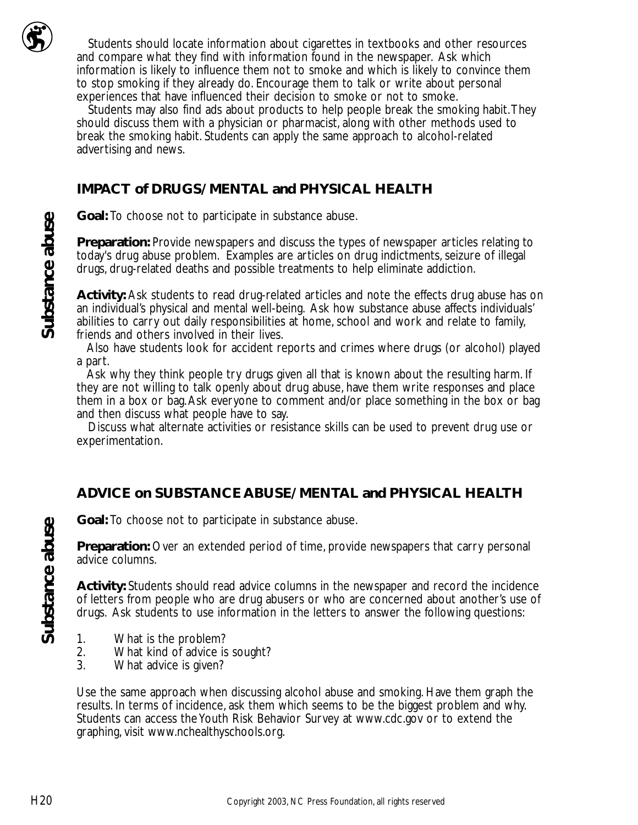

Students should locate information about cigarettes in textbooks and other resources and compare what they find with information found in the newspaper. Ask which information is likely to influence them not to smoke and which is likely to convince them to stop smoking if they already do. Encourage them to talk or write about personal experiences that have influenced their decision to smoke or not to smoke.

Students may also find ads about products to help people break the smoking habit.They should discuss them with a physician or pharmacist, along with other methods used to break the smoking habit. Students can apply the same approach to alcohol-related advertising and news.

#### **IMPACT of DRUGS/ MENTAL and PHYSICAL HEALTH**

**Goal:** To choose not to participate in substance abuse.

**Preparation:** Provide newspapers and discuss the types of newspaper articles relating to today's drug abuse problem. Examples are articles on drug indictments, seizure of illegal drugs, drug-related deaths and possible treatments to help eliminate addiction.

**Activity:** Ask students to read drug-related articles and note the effects drug abuse has on an individual's physical and mental well-being. Ask how substance abuse affects individuals' abilities to carry out daily responsibilities at home, school and work and relate to family, friends and others involved in their lives.

Also have students look for accident reports and crimes where drugs (or alcohol) played a part.

Ask why they think people try drugs given all that is known about the resulting harm. If they are not willing to talk openly about drug abuse, have them write responses and place them in a box or bag.Ask everyone to comment and/or place something in the box or bag and then discuss what people have to say.

Discuss what alternate activities or resistance skills can be used to prevent drug use or experimentation.

#### **ADVICE on SUBSTANCE ABUSE/ MENTAL and PHYSICAL HEALTH**

**Goal:** To choose not to participate in substance abuse.

**Preparation:** Over an extended period of time, provide newspapers that carry personal advice columns.

**Activity:** Students should read advice columns in the newspaper and record the incidence of letters from people who are drug abusers or who are concerned about another's use of drugs. Ask students to use information in the letters to answer the following questions:

- 
- 1. What is the problem?<br>2. What kind of advice is 2. What kind of advice is sought?<br>3. What advice is given?
- What advice is given?

Use the same approach when discussing alcohol abuse and smoking. Have them graph the results. In terms of incidence, ask them which seems to be the biggest problem and why. Students can access the Youth Risk Behavior Survey at www.cdc.gov or to extend the graphing, visit www.nchealthyschools.org.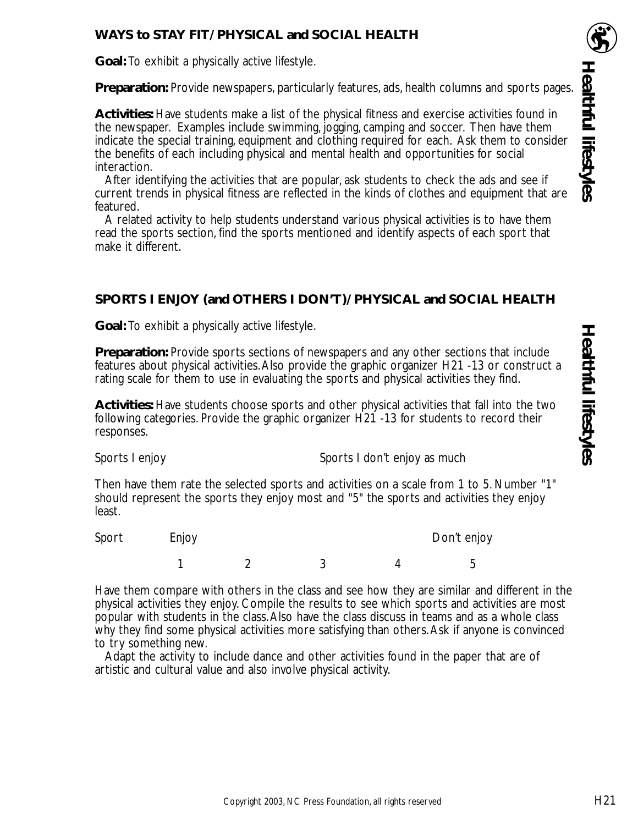#### **WAYS to STAY FIT/ PHYSICAL and SOCIAL HEALTH**

**Goal:** To exhibit a physically active lifestyle.

**Preparation:** Provide newspapers, particularly features, ads, health columns and sports pages.

**Activities:** Have students make a list of the physical fitness and exercise activities found in the newspaper. Examples include swimming, jogging, camping and soccer. Then have them indicate the special training, equipment and clothing required for each. Ask them to consider the benefits of each including physical and mental health and opportunities for social interaction.

After identifying the activities that are popular, ask students to check the ads and see if current trends in physical fitness are reflected in the kinds of clothes and equipment that are featured.

A related activity to help students understand various physical activities is to have them read the sports section, find the sports mentioned and identify aspects of each sport that make it different.

#### **SPORTS I ENJOY (and OTHERS I DON'T)/ PHYSICAL and SOCIAL HEALTH**

**Goal:** To exhibit a physically active lifestyle.

**Preparation:** Provide sports sections of newspapers and any other sections that include features about physical activities.Also provide the graphic organizer H21 -13 or construct a rating scale for them to use in evaluating the sports and physical activities they find.

**Activities:** Have students choose sports and other physical activities that fall into the two following categories. Provide the graphic organizer H21 -13 for students to record their responses.

Sports I enjoy Sports I don't enjoy as much

Then have them rate the selected sports and activities on a scale from 1 to 5. Number "1" should represent the sports they enjoy most and "5" the sports and activities they enjoy least.

Sport Enjoy **Enjoy** Don't enjoy 12 3 4 5

Have them compare with others in the class and see how they are similar and different in the physical activities they enjoy. Compile the results to see which sports and activities are most popular with students in the class.Also have the class discuss in teams and as a whole class why they find some physical activities more satisfying than others. Ask if anyone is convinced to try something new.

Adapt the activity to include dance and other activities found in the paper that are of artistic and cultural value and also involve physical activity.

**Healthful lifestyles**

**Healthful lifestyles**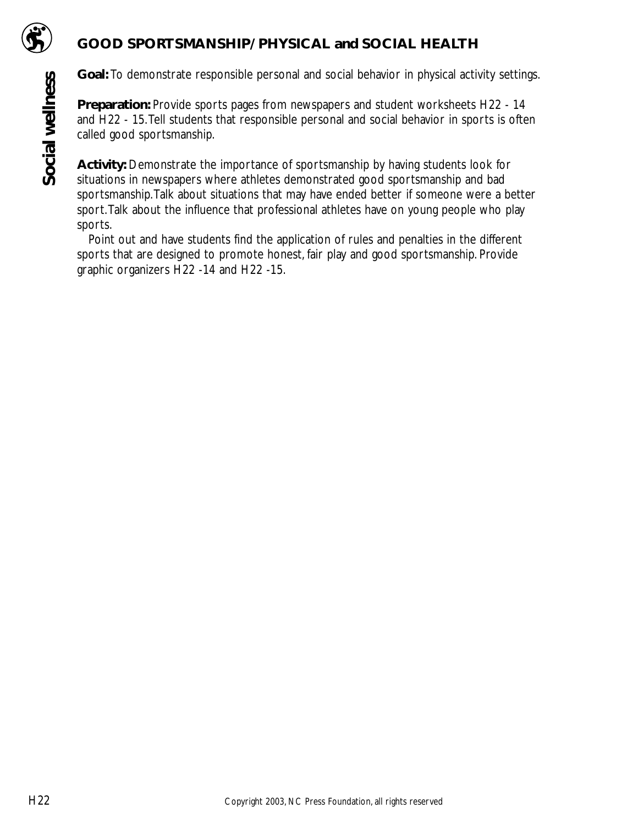

### **GOOD SPORTSMANSHIP/ PHYSICAL and SOCIAL HEALTH**

**Goal:** To demonstrate responsible personal and social behavior in physical activity settings.

**Preparation:** Provide sports pages from newspapers and student worksheets H22 - 14 and H22 - 15.Tell students that responsible personal and social behavior in sports is often called good sportsmanship.

**Activity:** Demonstrate the importance of sportsmanship by having students look for situations in newspapers where athletes demonstrated good sportsmanship and bad sportsmanship.Talk about situations that may have ended better if someone were a better sport.Talk about the influence that professional athletes have on young people who play sports.

Point out and have students find the application of rules and penalties in the different sports that are designed to promote honest, fair play and good sportsmanship. Provide graphic organizers H22 -14 and H22 -15.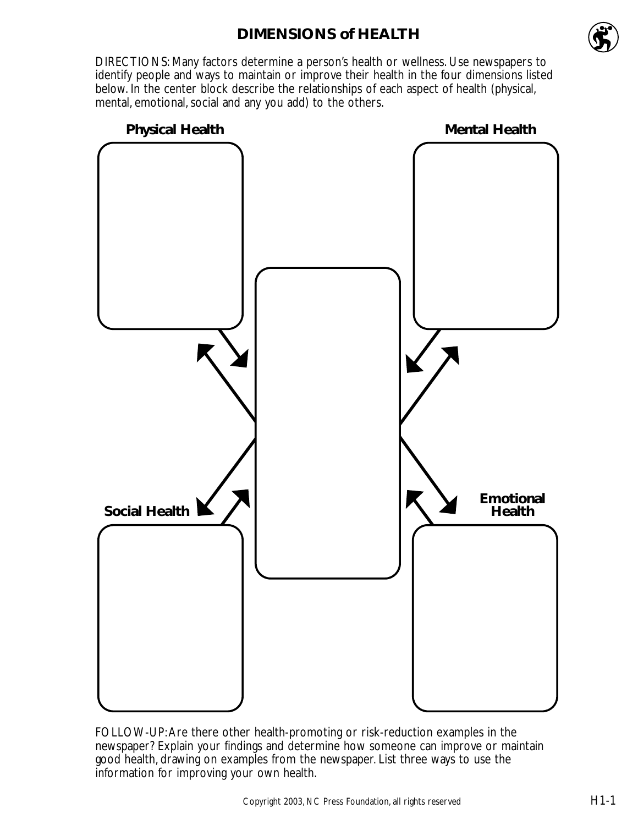# **DIMENSIONS of HEALTH**



DIRECTIONS: Many factors determine a person's health or wellness. Use newspapers to identify people and ways to maintain or improve their health in the four dimensions listed below. In the center block describe the relationships of each aspect of health (physical, mental, emotional, social and any you add) to the others.



FOLLOW-UP:Are there other health-promoting or risk-reduction examples in the newspaper? Explain your findings and determine how someone can improve or maintain good health, drawing on examples from the newspaper. List three ways to use the information for improving your own health.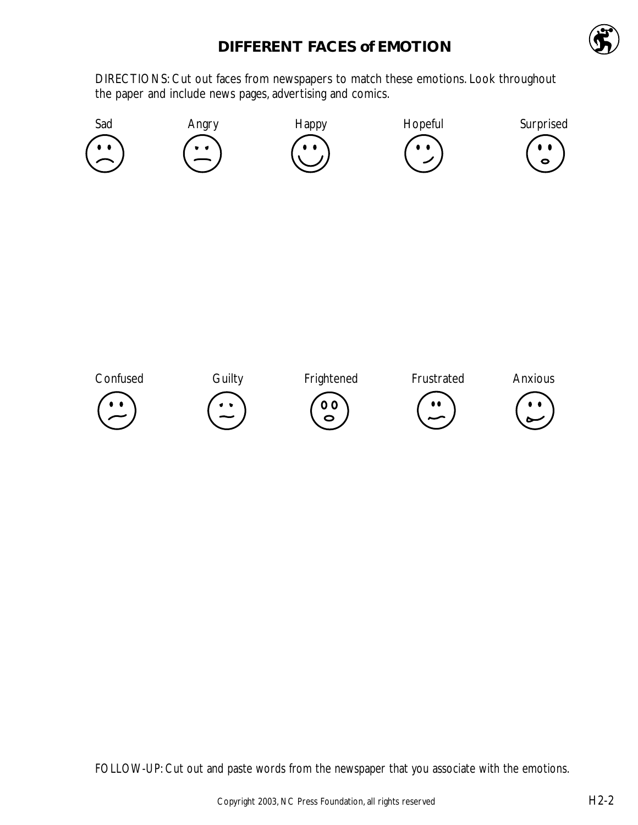# **DIFFERENT FACES of EMOTION**



DIRECTIONS: Cut out faces from newspapers to match these emotions. Look throughout the paper and include news pages, advertising and comics.



FOLLOW-UP: Cut out and paste words from the newspaper that you associate with the emotions.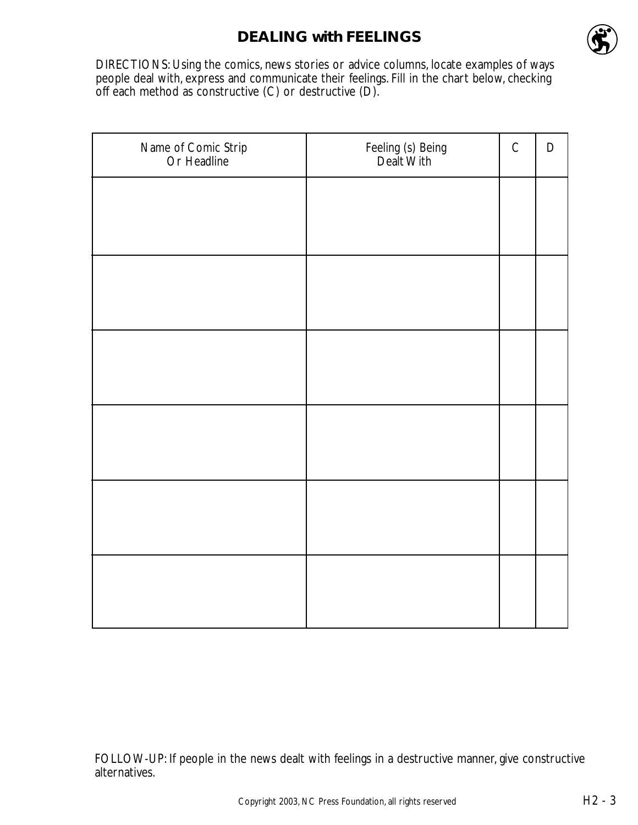## **DEALING with FEELINGS**



DIRECTIONS: Using the comics, news stories or advice columns, locate examples of ways people deal with, express and communicate their feelings. Fill in the chart below, checking off each method as constructive (C) or destructive (D).

| Name of Comic Strip<br>Or Headline | Feeling (s) Being<br>Dealt With | $\mathsf C$ | $\mathsf D$ |
|------------------------------------|---------------------------------|-------------|-------------|
|                                    |                                 |             |             |
|                                    |                                 |             |             |
|                                    |                                 |             |             |
|                                    |                                 |             |             |
|                                    |                                 |             |             |
|                                    |                                 |             |             |
|                                    |                                 |             |             |
|                                    |                                 |             |             |
|                                    |                                 |             |             |
|                                    |                                 |             |             |
|                                    |                                 |             |             |
|                                    |                                 |             |             |

FOLLOW-UP: If people in the news dealt with feelings in a destructive manner, give constructive alternatives.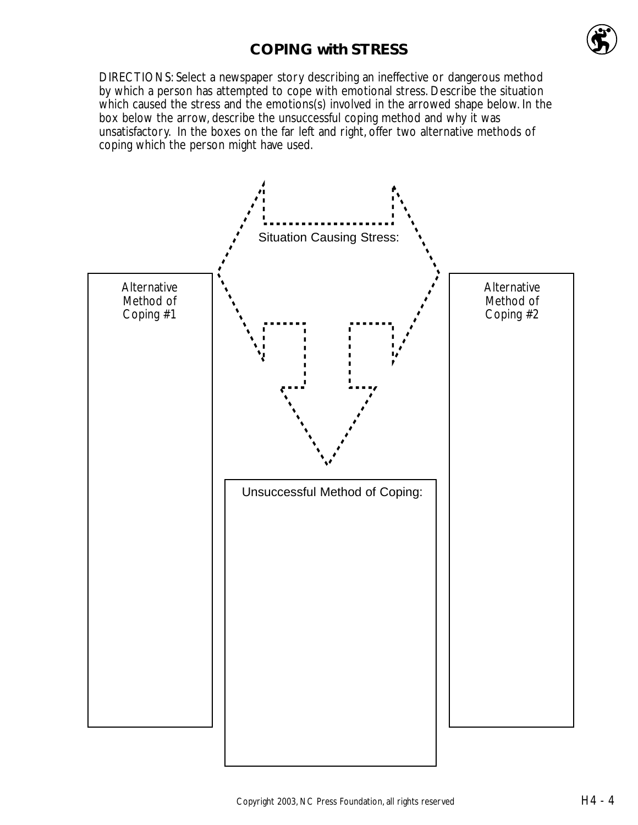# **COPING with STRESS**



DIRECTIONS: Select a newspaper story describing an ineffective or dangerous method by which a person has attempted to cope with emotional stress. Describe the situation which caused the stress and the emotions(s) involved in the arrowed shape below. In the box below the arrow, describe the unsuccessful coping method and why it was unsatisfactory. In the boxes on the far left and right, offer two alternative methods of coping which the person might have used.

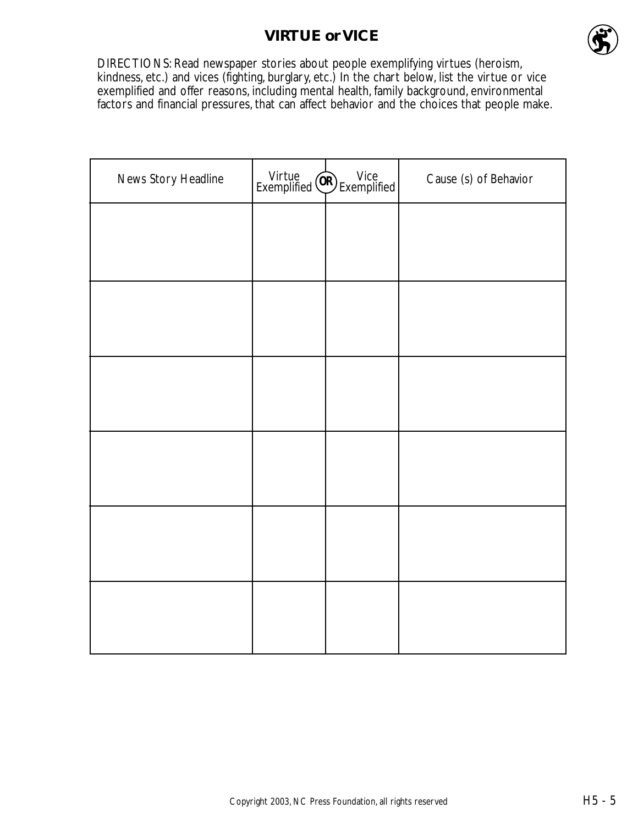# **VIRTUE or VICE**



DIRECTIONS: Read newspaper stories about people exemplifying virtues (heroism, kindness, etc.) and vices (fighting, burglary, etc.) In the chart below, list the virtue or vice exemplified and offer reasons, including mental health, family background, environmental factors and financial pressures, that can affect behavior and the choices that people make.

| News Story Headline | Virtue<br>Exemplified (OR) Exemplified | Cause (s) of Behavior |
|---------------------|----------------------------------------|-----------------------|
|                     |                                        |                       |
|                     |                                        |                       |
|                     |                                        |                       |
|                     |                                        |                       |
|                     |                                        |                       |
|                     |                                        |                       |
|                     |                                        |                       |
|                     |                                        |                       |
|                     |                                        |                       |
|                     |                                        |                       |
|                     |                                        |                       |
|                     |                                        |                       |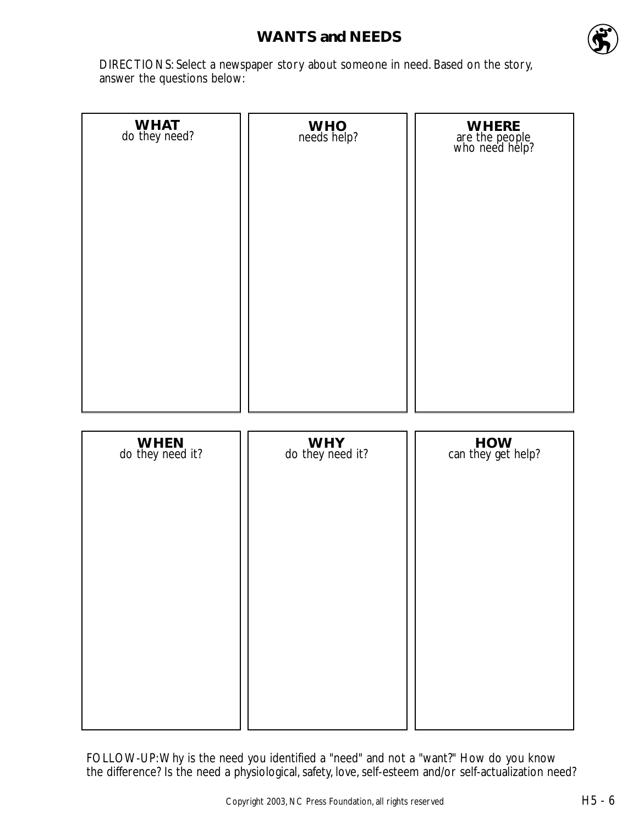## **WANTS and NEEDS**



DIRECTIONS: Select a newspaper story about someone in need. Based on the story, answer the questions below:

| WHAT<br>do they need?    | WHO <sub>needs</sub> help? | WHERE<br>are the people<br>who need help? |
|--------------------------|----------------------------|-------------------------------------------|
| WHEN<br>do they need it? | WHY<br>do they need it?    | HOW<br>can they get help?                 |

FOLLOW-UP:Why is the need you identified a "need" and not a "want?" How do you know the difference? Is the need a physiological, safety, love, self-esteem and/or self-actualization need?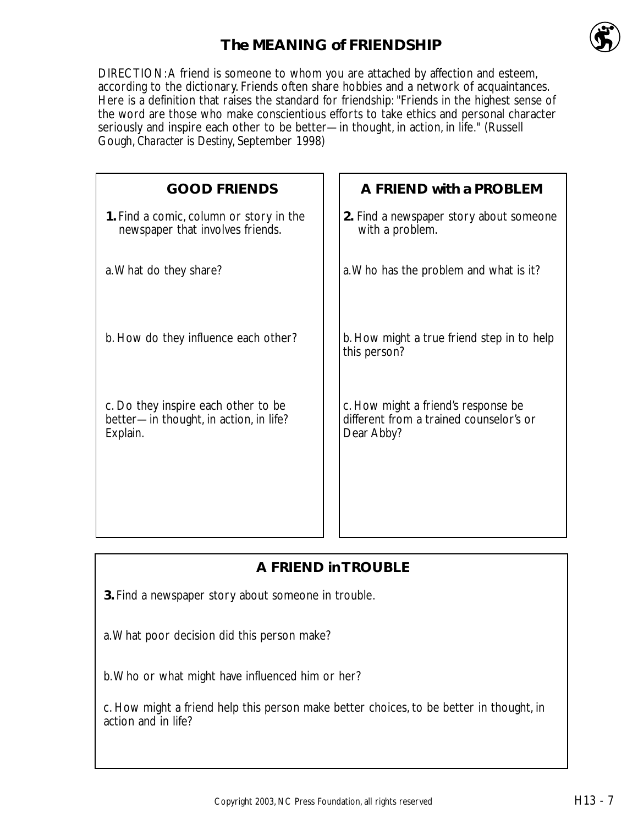

# **The MEANING of FRIENDSHIP**

DIRECTION:A friend is someone to whom you are attached by affection and esteem, according to the dictionary. Friends often share hobbies and a network of acquaintances. Here is a definition that raises the standard for friendship: "Friends in the highest sense of the word are those who make conscientious efforts to take ethics and personal character seriously and inspire each other to be better—in thought, in action, in life." (Russell Gough, *Character is Destiny*, September 1998)

| <b>GOOD FRIENDS</b>                                                                       | A FRIEND with a PROBLEM                                                                      |
|-------------------------------------------------------------------------------------------|----------------------------------------------------------------------------------------------|
| 1. Find a comic, column or story in the<br>newspaper that involves friends.               | 2. Find a newspaper story about someone<br>with a problem.                                   |
| a. What do they share?                                                                    | a. Who has the problem and what is it?                                                       |
| b. How do they influence each other?                                                      | b. How might a true friend step in to help<br>this person?                                   |
| c. Do they inspire each other to be<br>better-in thought, in action, in life?<br>Explain. | c. How might a friend's response be<br>different from a trained counselor's or<br>Dear Abby? |
|                                                                                           |                                                                                              |

## **A FRIEND in TROUBLE**

**3.** Find a newspaper story about someone in trouble.

a.What poor decision did this person make?

b.Who or what might have influenced him or her?

c. How might a friend help this person make better choices, to be better in thought, in action and in life?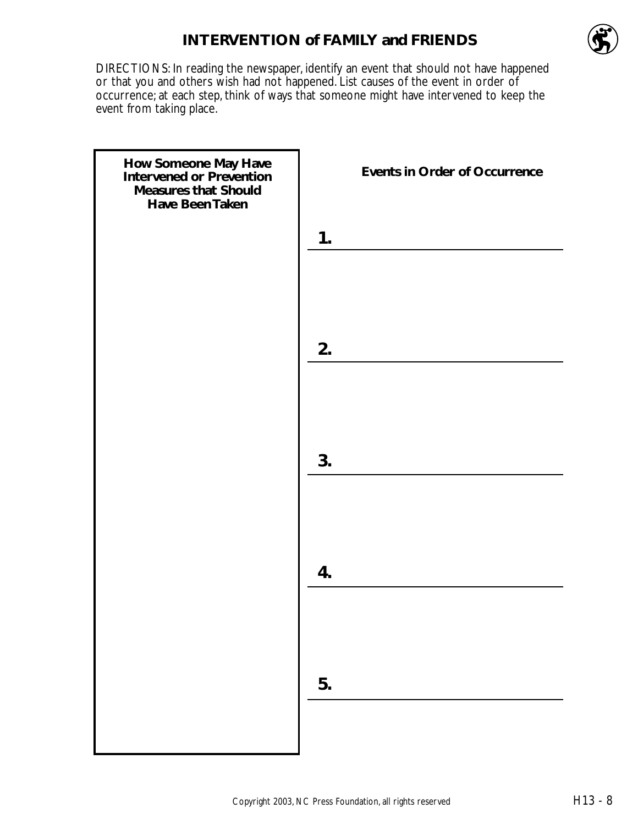## **INTERVENTION of FAMILY and FRIENDS**



DIRECTIONS: In reading the newspaper, identify an event that should not have happened or that you and others wish had not happened. List causes of the event in order of occurrence; at each step, think of ways that someone might have intervened to keep the event from taking place.

| How Someone May Have<br>Intervened or Prevention<br><b>Measures that Should</b><br>Have Been Taken | <b>Events in Order of Occurrence</b> |
|----------------------------------------------------------------------------------------------------|--------------------------------------|
|                                                                                                    | 1.                                   |
|                                                                                                    |                                      |
|                                                                                                    | 2.                                   |
|                                                                                                    |                                      |
|                                                                                                    | 3.                                   |
|                                                                                                    |                                      |
|                                                                                                    | 4.                                   |
|                                                                                                    |                                      |
|                                                                                                    | 5.                                   |
|                                                                                                    |                                      |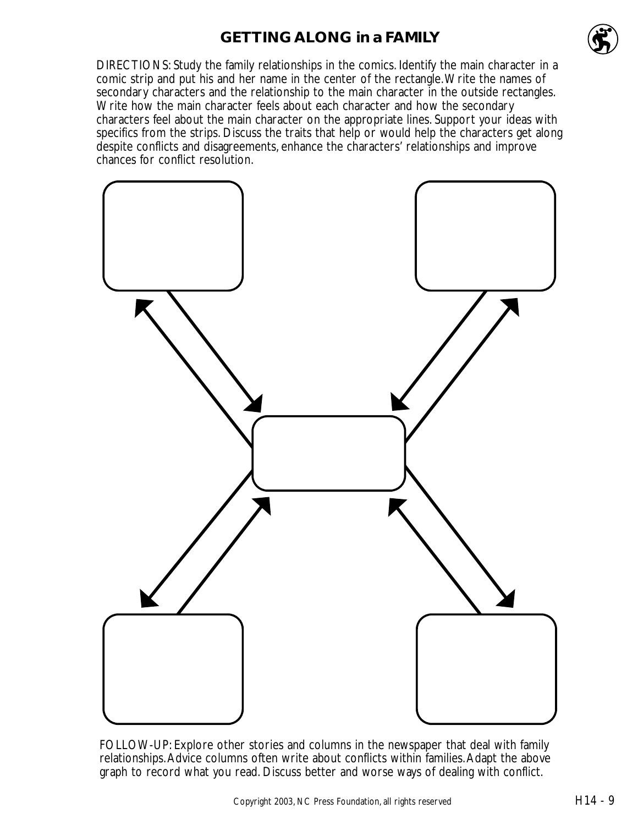### **GETTING ALONG in a FAMILY**



DIRECTIONS: Study the family relationships in the comics. Identify the main character in a comic strip and put his and her name in the center of the rectangle.Write the names of secondary characters and the relationship to the main character in the outside rectangles. Write how the main character feels about each character and how the secondary characters feel about the main character on the appropriate lines. Support your ideas with specifics from the strips. Discuss the traits that help or would help the characters get along despite conflicts and disagreements, enhance the characters' relationships and improve chances for conflict resolution.



FOLLOW-UP: Explore other stories and columns in the newspaper that deal with family relationships.Advice columns often write about conflicts within families.Adapt the above graph to record what you read. Discuss better and worse ways of dealing with conflict.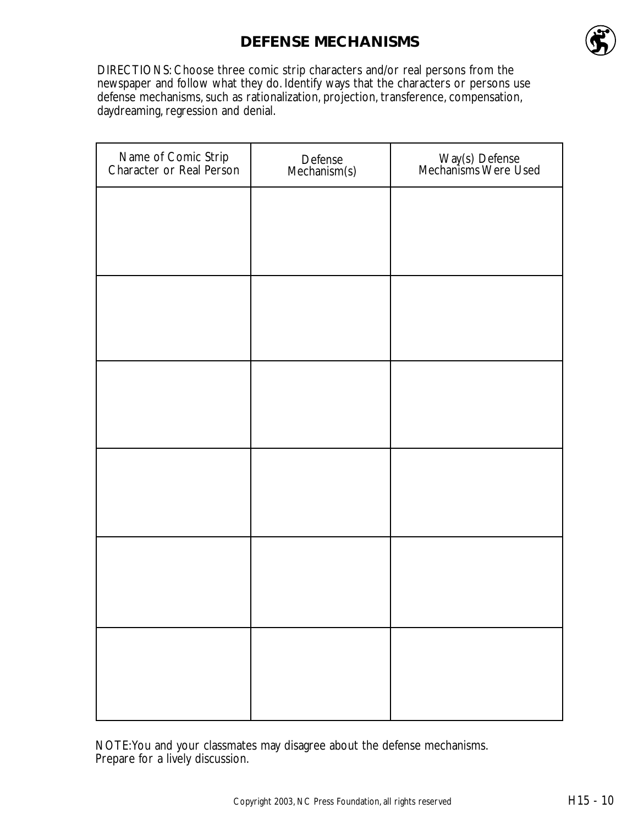# **DEFENSE MECHANISMS**



DIRECTIONS: Choose three comic strip characters and/or real persons from the newspaper and follow what they do. Identify ways that the characters or persons use defense mechanisms, such as rationalization, projection, transference, compensation, daydreaming, regression and denial.

| Defense<br>Mechanism(s) | Way(s) Defense<br>Mechanisms Were Used |
|-------------------------|----------------------------------------|
|                         |                                        |
|                         |                                        |
|                         |                                        |
|                         |                                        |
|                         |                                        |
|                         |                                        |
|                         |                                        |
|                         |                                        |
|                         |                                        |
|                         |                                        |
|                         |                                        |
|                         |                                        |
|                         |                                        |

NOTE:You and your classmates may disagree about the defense mechanisms. Prepare for a lively discussion.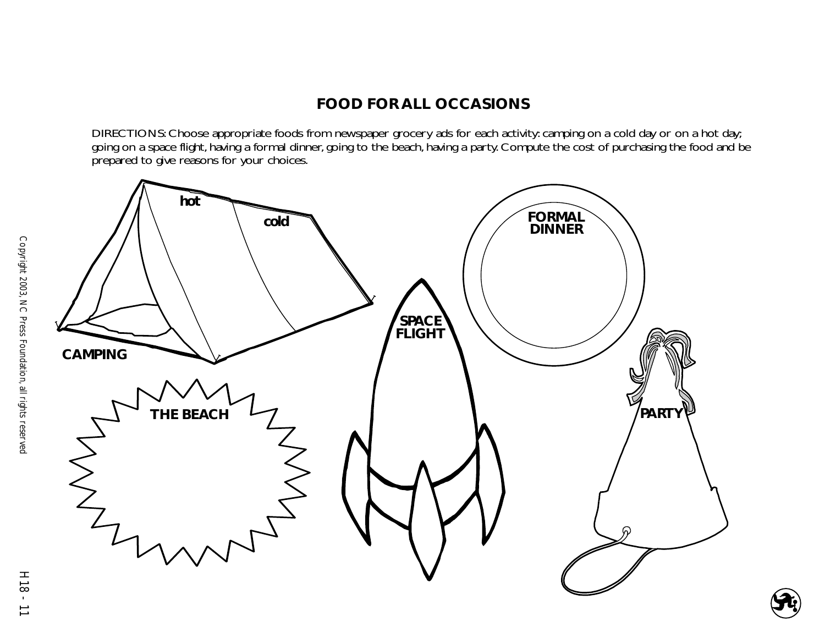# **FOOD FOR ALL OCCASIONS**

DIRECTIONS: Choose appropriate foods from newspaper grocery ads for each activity: camping on a cold day or on a hot day; going on a space flight, having a formal dinner, going to the beach, having a party. Compute the cost of purchasing the food and be prepared to give reasons for your choices.

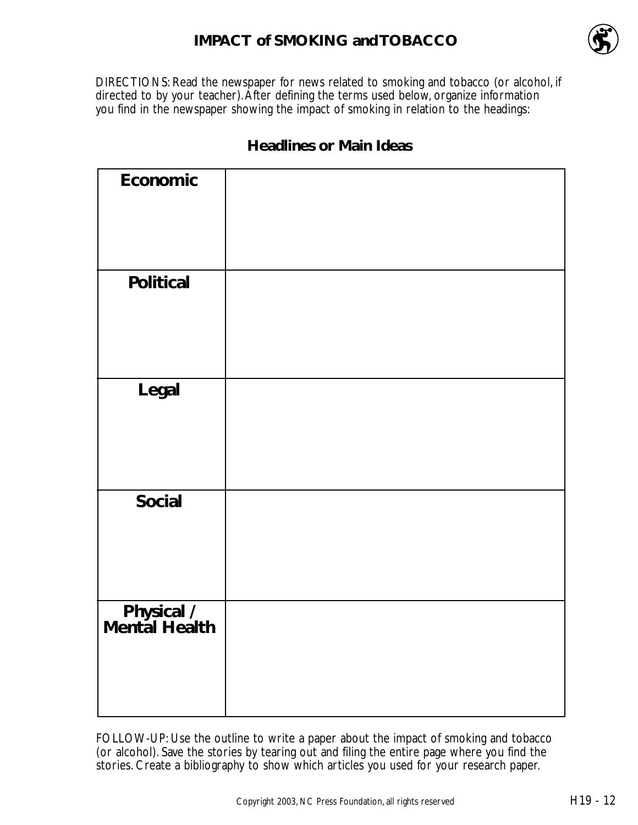## **IMPACT of SMOKING and TOBACCO**



DIRECTIONS: Read the newspaper for news related to smoking and tobacco (or alcohol, if directed to by your teacher). After defining the terms used below, organize information you find in the newspaper showing the impact of smoking in relation to the headings:

| Economic                            |  |
|-------------------------------------|--|
|                                     |  |
|                                     |  |
|                                     |  |
| <b>Political</b>                    |  |
|                                     |  |
|                                     |  |
|                                     |  |
| Legal                               |  |
|                                     |  |
|                                     |  |
|                                     |  |
| <b>Social</b>                       |  |
|                                     |  |
|                                     |  |
|                                     |  |
|                                     |  |
| <b>Physical /<br/>Mental Health</b> |  |
|                                     |  |
|                                     |  |
|                                     |  |

### **Headlines or Main Ideas**

FOLLOW-UP: Use the outline to write a paper about the impact of smoking and tobacco (or alcohol). Save the stories by tearing out and filing the entire page where you find the stories. Create a bibliography to show which articles you used for your research paper.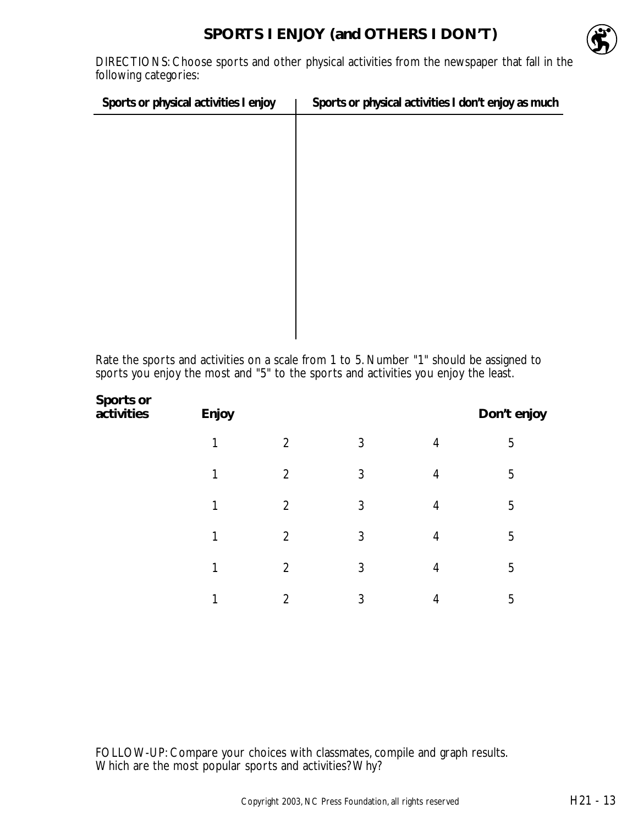

DIRECTIONS: Choose sports and other physical activities from the newspaper that fall in the following categories:

| Sports or physical activities I enjoy | Sports or physical activities I don't enjoy as much |
|---------------------------------------|-----------------------------------------------------|
|                                       |                                                     |
|                                       |                                                     |
|                                       |                                                     |
|                                       |                                                     |
|                                       |                                                     |
|                                       |                                                     |
|                                       |                                                     |
|                                       |                                                     |
|                                       |                                                     |
|                                       |                                                     |

Rate the sports and activities on a scale from 1 to 5. Number "1" should be assigned to sports you enjoy the most and "5" to the sports and activities you enjoy the least.

| Sports or<br>activities | Enjoy |                |   |                | Don't enjoy |
|-------------------------|-------|----------------|---|----------------|-------------|
|                         | 1     | $\overline{2}$ | 3 | $\overline{4}$ | 5           |
|                         |       | $\overline{2}$ | 3 | 4              | 5           |
|                         | 1     | $\overline{2}$ | 3 | 4              | 5           |
|                         |       | $\overline{2}$ | 3 | $\overline{4}$ | 5           |
|                         |       | $\overline{2}$ | 3 | 4              | 5           |
|                         | 1     | $\overline{2}$ | 3 | 4              | 5           |
|                         |       |                |   |                |             |

FOLLOW-UP: Compare your choices with classmates, compile and graph results. Which are the most popular sports and activities? Why?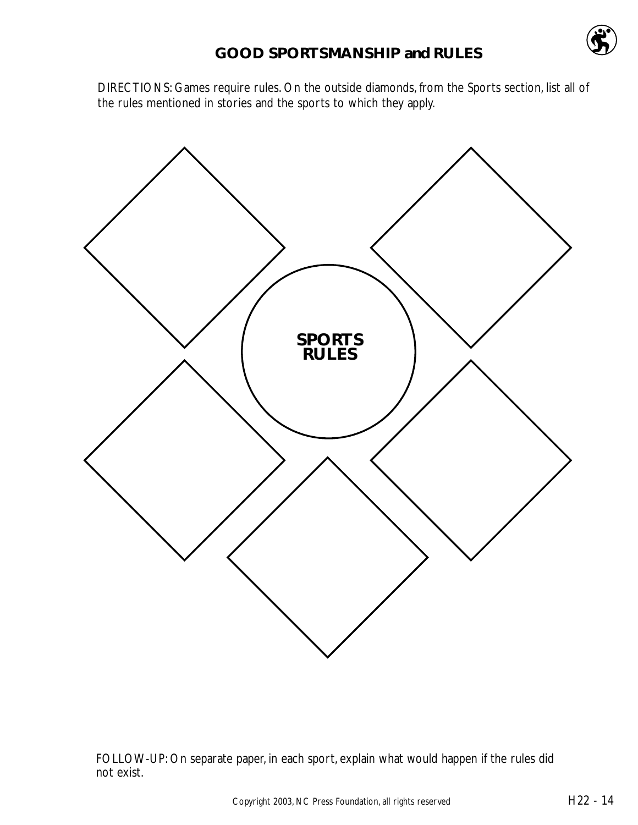DIRECTIONS: Games require rules. On the outside diamonds, from the Sports section, list all of the rules mentioned in stories and the sports to which they apply.



FOLLOW-UP: On separate paper, in each sport, explain what would happen if the rules did not exist.